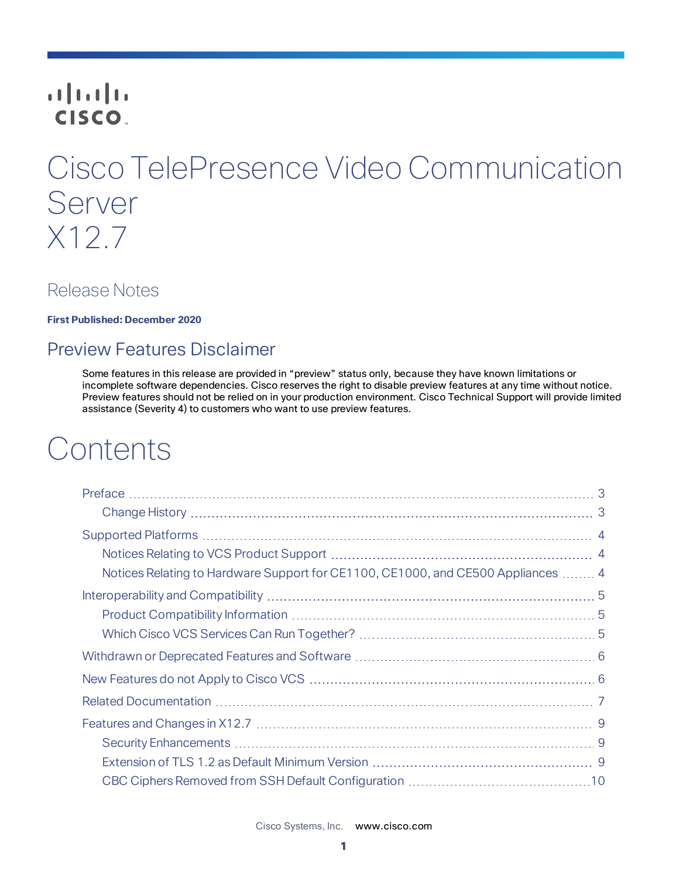# **CISCO**

# Cisco TelePresence Video Communication Server X12.7

## Release Notes

**First Published: December 2020**

## Preview Features Disclaimer

Some features in this release are provided in "preview" status only, because they have known limitations or incomplete software dependencies. Cisco reserves the right to disable preview features at any time without notice. Preview features should not be relied on in your production environment. Cisco Technical Support will provide limited assistance (Severity 4) to customers who want to use preview features.

# **Contents**

| Notices Relating to Hardware Support for CE1100, CE1000, and CE500 Appliances  4 |  |
|----------------------------------------------------------------------------------|--|
|                                                                                  |  |
|                                                                                  |  |
|                                                                                  |  |
|                                                                                  |  |
|                                                                                  |  |
|                                                                                  |  |
|                                                                                  |  |
|                                                                                  |  |
|                                                                                  |  |
|                                                                                  |  |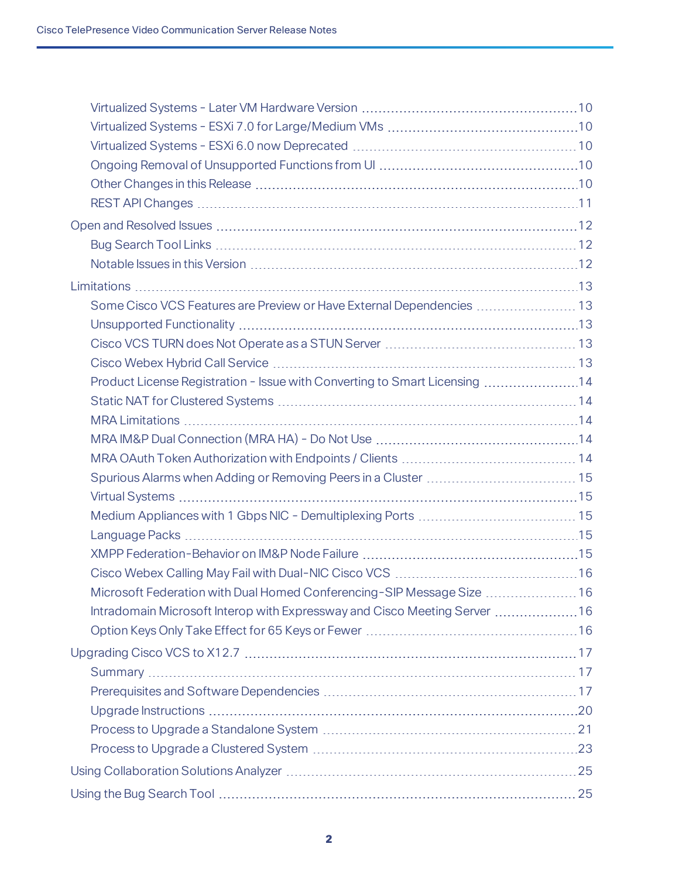| Some Cisco VCS Features are Preview or Have External Dependencies  13      |  |
|----------------------------------------------------------------------------|--|
|                                                                            |  |
|                                                                            |  |
|                                                                            |  |
| Product License Registration - Issue with Converting to Smart Licensing 14 |  |
|                                                                            |  |
|                                                                            |  |
|                                                                            |  |
|                                                                            |  |
|                                                                            |  |
|                                                                            |  |
|                                                                            |  |
|                                                                            |  |
|                                                                            |  |
|                                                                            |  |
| Microsoft Federation with Dual Homed Conferencing-SIP Message Size  16     |  |
| Intradomain Microsoft Interop with Expressway and Cisco Meeting Server 16  |  |
|                                                                            |  |
|                                                                            |  |
|                                                                            |  |
|                                                                            |  |
|                                                                            |  |
|                                                                            |  |
|                                                                            |  |
|                                                                            |  |
|                                                                            |  |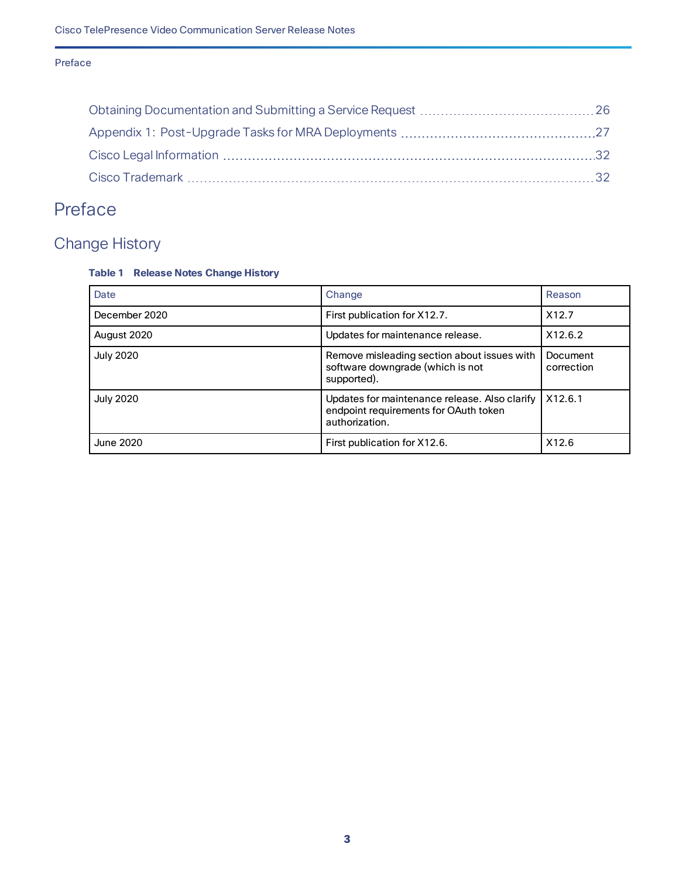#### Preface

# <span id="page-2-0"></span>Preface

# <span id="page-2-1"></span>Change History

#### **Table 1 Release Notes Change History**

| Date             | Change                                                                                                   | Reason                 |
|------------------|----------------------------------------------------------------------------------------------------------|------------------------|
| December 2020    | First publication for X12.7.                                                                             | X <sub>12.7</sub>      |
| August 2020      | Updates for maintenance release.                                                                         | X12.6.2                |
| <b>July 2020</b> | Remove misleading section about issues with<br>software downgrade (which is not<br>supported).           | Document<br>correction |
| <b>July 2020</b> | Updates for maintenance release. Also clarify<br>endpoint requirements for OAuth token<br>authorization. | X12.6.1                |
| June 2020        | First publication for X12.6.                                                                             | X12.6                  |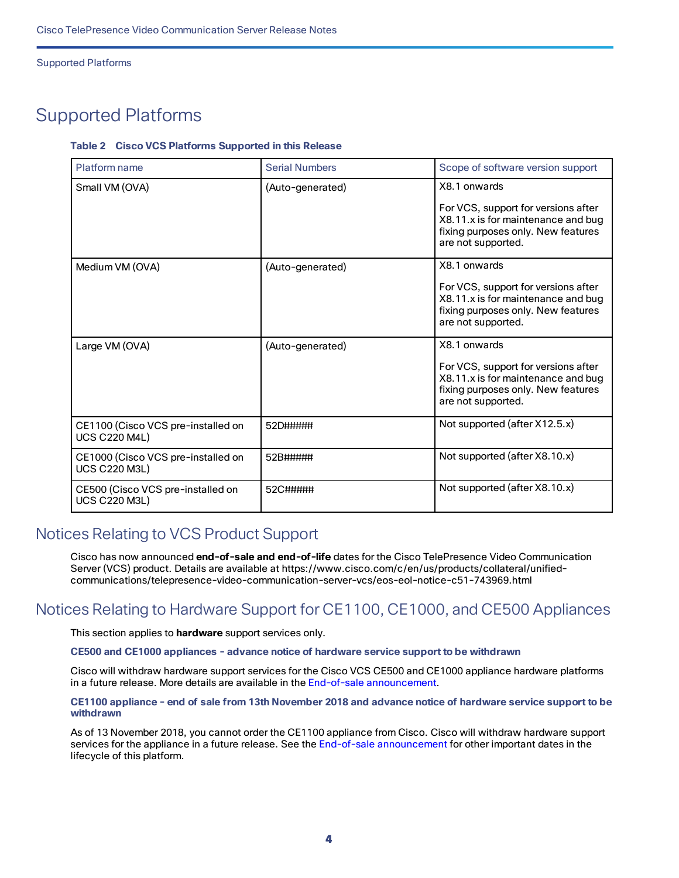Supported Platforms

# <span id="page-3-0"></span>Supported Platforms

#### **Table 2 Cisco VCS Platforms Supported in this Release**

| Platform name                                              | <b>Serial Numbers</b> | Scope of software version support                                                                                                                     |
|------------------------------------------------------------|-----------------------|-------------------------------------------------------------------------------------------------------------------------------------------------------|
| Small VM (OVA)                                             | (Auto-generated)      | X8.1 onwards<br>For VCS, support for versions after<br>X8.11.x is for maintenance and bug<br>fixing purposes only. New features<br>are not supported. |
| Medium VM (OVA)                                            | (Auto-generated)      | X8.1 onwards<br>For VCS, support for versions after<br>X8.11.x is for maintenance and bug<br>fixing purposes only. New features<br>are not supported. |
| Large VM (OVA)                                             | (Auto-generated)      | X8.1 onwards<br>For VCS, support for versions after<br>X8.11.x is for maintenance and bug<br>fixing purposes only. New features<br>are not supported. |
| CE1100 (Cisco VCS pre-installed on<br><b>UCS C220 M4L)</b> | 52D#####              | Not supported (after X12.5.x)                                                                                                                         |
| CE1000 (Cisco VCS pre-installed on<br><b>UCS C220 M3L)</b> | 52B#####              | Not supported (after X8.10.x)                                                                                                                         |
| CE500 (Cisco VCS pre-installed on<br><b>UCS C220 M3L)</b>  | 52C#####              | Not supported (after X8.10.x)                                                                                                                         |

### <span id="page-3-1"></span>Notices Relating to VCS Product Support

Cisco has now announced **end-of-sale and end-of-life** dates for the Cisco TelePresence Video Communication Server (VCS) product. Details are available at https://www.cisco.com/c/en/us/products/collateral/unifiedcommunications/telepresence-video-communication-server-vcs/eos-eol-notice-c51-743969.html

### <span id="page-3-2"></span>Notices Relating to Hardware Support for CE1100, CE1000, and CE500 Appliances

This section applies to **hardware** support services only.

**CE500 and CE1000 appliances - advance notice of hardware service support to be withdrawn**

Cisco will withdraw hardware support services for the Cisco VCS CE500 and CE1000 appliance hardware platforms in a future release. More details are available in the End-of-sale [announcement.](http://www.cisco.com/c/en/us/products/collateral/unified-communications/telepresence-video-communication-server-vcs/eos-eol-notice-c51-735718.html)

#### CE1100 appliance - end of sale from 13th November 2018 and advance notice of hardware service support to be **withdrawn**

As of 13 November 2018, you cannot order the CE1100 appliance from Cisco. Cisco will withdraw hardware support services for the appliance in a future release. See the End-of-sale [announcement](https://www.cisco.com/c/en/us/products/collateral/unified-communications/telepresence-video-communication-server-vcs/eos-eol-notice-c51-741202.html) for other important dates in the lifecycle of this platform.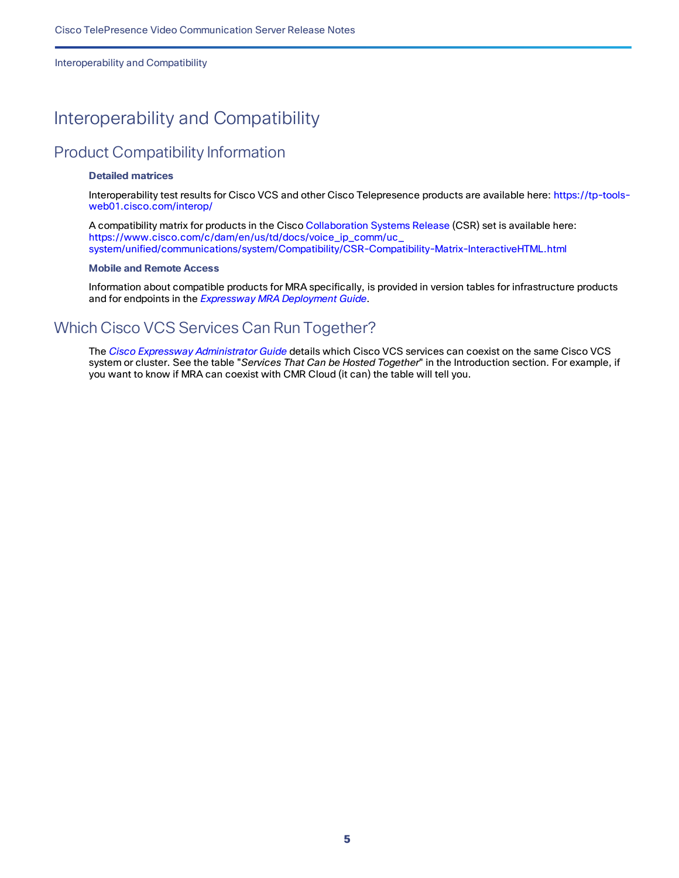Interoperability and Compatibility

# <span id="page-4-0"></span>Interoperability and Compatibility

### <span id="page-4-1"></span>Product Compatibility Information

#### **Detailed matrices**

Interoperability test results for Cisco VCS and other Cisco Telepresence products are available here: [https://tp-tools](https://tp-tools-web01.cisco.com/interop/)[web01.cisco.com/interop/](https://tp-tools-web01.cisco.com/interop/)

A compatibility matrix for products in the Cisco [Collaboration](https://www.cisco.com/c/en/us/solutions/collaboration/collaboration-systems-release/index.html) Systems Release (CSR) set is available here: [https://www.cisco.com/c/dam/en/us/td/docs/voice\\_ip\\_comm/uc\\_](https://www.cisco.com/c/dam/en/us/td/docs/voice_ip_comm/uc_system/unified/communications/system/Compatibility/CSR-Compatibility-Matrix-InteractiveHTML.html) [system/unified/communications/system/Compatibility/CSR-Compatibility-Matrix-InteractiveHTML.html](https://www.cisco.com/c/dam/en/us/td/docs/voice_ip_comm/uc_system/unified/communications/system/Compatibility/CSR-Compatibility-Matrix-InteractiveHTML.html)

#### **Mobile and Remote Access**

Information about compatible products for MRA specifically, is provided in version tables for infrastructure products and for endpoints in the *Expressway MRA [Deployment](https://www.cisco.com/c/en/us/support/unified-communications/expressway-series/products-installation-and-configuration-guides-list.html) Guide*.

### <span id="page-4-2"></span>Which Cisco VCS Services Can Run Together?

The *[Cisco Expressway](https://www.cisco.com/c/en/us/support/unified-communications/expressway-series/products-maintenance-guides-list.html) Administrator Guide* details which Cisco VCS services can coexist on the same Cisco VCS system or cluster. See the table "*Services That Can be Hosted Together*" in the Introduction section. For example, if you want to know if MRA can coexist with CMR Cloud (it can) the table will tell you.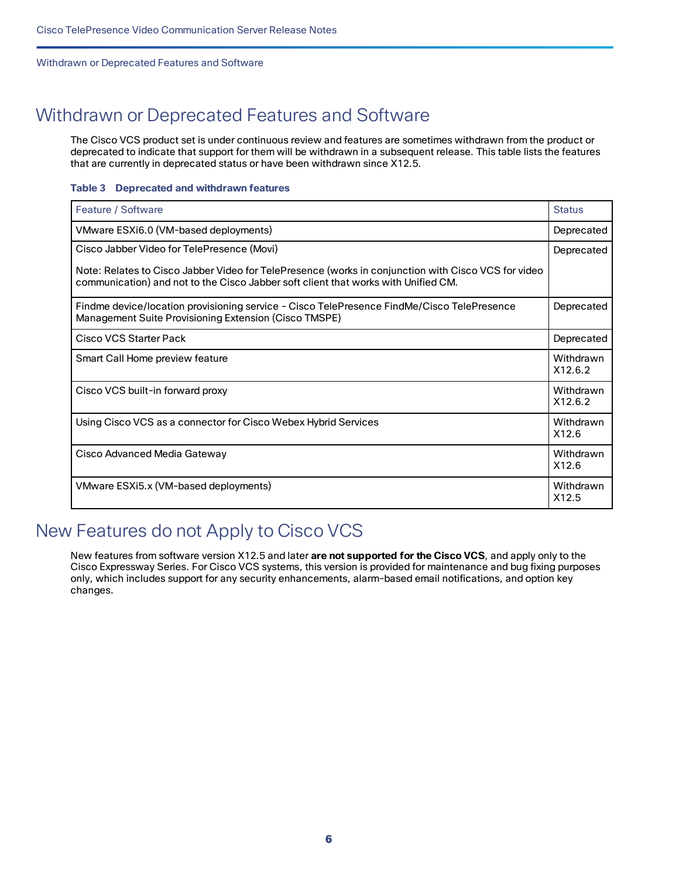#### Withdrawn or Deprecated Features and Software

# <span id="page-5-0"></span>Withdrawn or Deprecated Features and Software

The Cisco VCS product set is under continuous review and features are sometimes withdrawn from the product or deprecated to indicate that support for them will be withdrawn in a subsequent release. This table lists the features that are currently in deprecated status or have been withdrawn since X12.5.

#### **Table 3 Deprecated and withdrawn features**

| Feature / Software                                                                                                                                                                        | <b>Status</b>        |
|-------------------------------------------------------------------------------------------------------------------------------------------------------------------------------------------|----------------------|
| VMware ESXi6.0 (VM-based deployments)                                                                                                                                                     | Deprecated           |
| Cisco Jabber Video for TelePresence (Movi)                                                                                                                                                | Deprecated           |
| Note: Relates to Cisco Jabber Video for TelePresence (works in conjunction with Cisco VCS for video<br>communication) and not to the Cisco Jabber soft client that works with Unified CM. |                      |
| Findme device/location provisioning service - Cisco TelePresence FindMe/Cisco TelePresence<br>Management Suite Provisioning Extension (Cisco TMSPE)                                       | Deprecated           |
| Cisco VCS Starter Pack                                                                                                                                                                    | Deprecated           |
| Smart Call Home preview feature                                                                                                                                                           | Withdrawn<br>X12.6.2 |
| Cisco VCS built-in forward proxy                                                                                                                                                          | Withdrawn<br>X12.6.2 |
| Using Cisco VCS as a connector for Cisco Webex Hybrid Services                                                                                                                            | Withdrawn<br>X12.6   |
| Cisco Advanced Media Gateway                                                                                                                                                              | Withdrawn<br>X12.6   |
| VMware ESXi5.x (VM-based deployments)                                                                                                                                                     | Withdrawn<br>X12.5   |

# <span id="page-5-1"></span>New Features do not Apply to Cisco VCS

New features from software version X12.5 and later **are not supported for the Cisco VCS**, and apply only to the Cisco Expressway Series. For Cisco VCS systems, this version is provided for maintenance and bug fixing purposes only, which includes support for any security enhancements, alarm-based email notifications, and option key changes.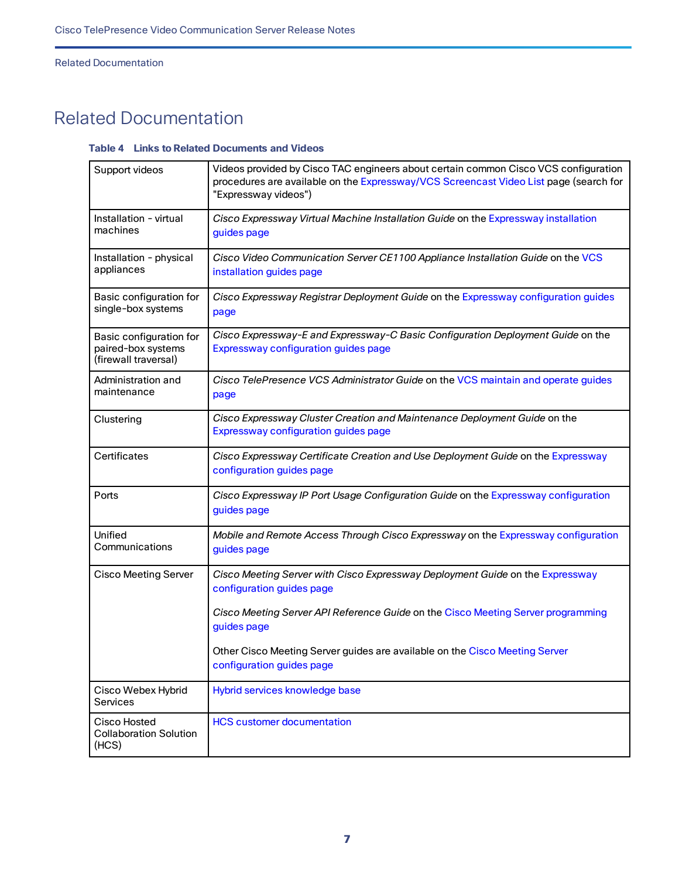Related Documentation

# <span id="page-6-0"></span>Related Documentation

#### **Table 4 Links to Related Documents and Videos**

| Support videos                                                        | Videos provided by Cisco TAC engineers about certain common Cisco VCS configuration<br>procedures are available on the Expressway/VCS Screencast Video List page (search for<br>"Expressway videos") |
|-----------------------------------------------------------------------|------------------------------------------------------------------------------------------------------------------------------------------------------------------------------------------------------|
| Installation - virtual<br>machines                                    | Cisco Expressway Virtual Machine Installation Guide on the Expressway installation<br>guides page                                                                                                    |
| Installation - physical<br>appliances                                 | Cisco Video Communication Server CE1100 Appliance Installation Guide on the VCS<br>installation guides page                                                                                          |
| Basic configuration for<br>single-box systems                         | Cisco Expressway Registrar Deployment Guide on the Expressway configuration guides<br>page                                                                                                           |
| Basic configuration for<br>paired-box systems<br>(firewall traversal) | Cisco Expressway-E and Expressway-C Basic Configuration Deployment Guide on the<br>Expressway configuration guides page                                                                              |
| Administration and<br>maintenance                                     | Cisco TelePresence VCS Administrator Guide on the VCS maintain and operate guides<br>page                                                                                                            |
| Clustering                                                            | Cisco Expressway Cluster Creation and Maintenance Deployment Guide on the<br>Expressway configuration guides page                                                                                    |
| Certificates                                                          | Cisco Expressway Certificate Creation and Use Deployment Guide on the Expressway<br>configuration guides page                                                                                        |
| Ports                                                                 | Cisco Expressway IP Port Usage Configuration Guide on the Expressway configuration<br>guides page                                                                                                    |
| Unified<br>Communications                                             | Mobile and Remote Access Through Cisco Expressway on the Expressway configuration<br>guides page                                                                                                     |
| <b>Cisco Meeting Server</b>                                           | Cisco Meeting Server with Cisco Expressway Deployment Guide on the Expressway<br>configuration guides page                                                                                           |
|                                                                       | Cisco Meeting Server API Reference Guide on the Cisco Meeting Server programming<br>guides page                                                                                                      |
|                                                                       | Other Cisco Meeting Server guides are available on the Cisco Meeting Server<br>configuration guides page                                                                                             |
| Cisco Webex Hybrid<br>Services                                        | Hybrid services knowledge base                                                                                                                                                                       |
| Cisco Hosted<br><b>Collaboration Solution</b><br>(HCS)                | <b>HCS customer documentation</b>                                                                                                                                                                    |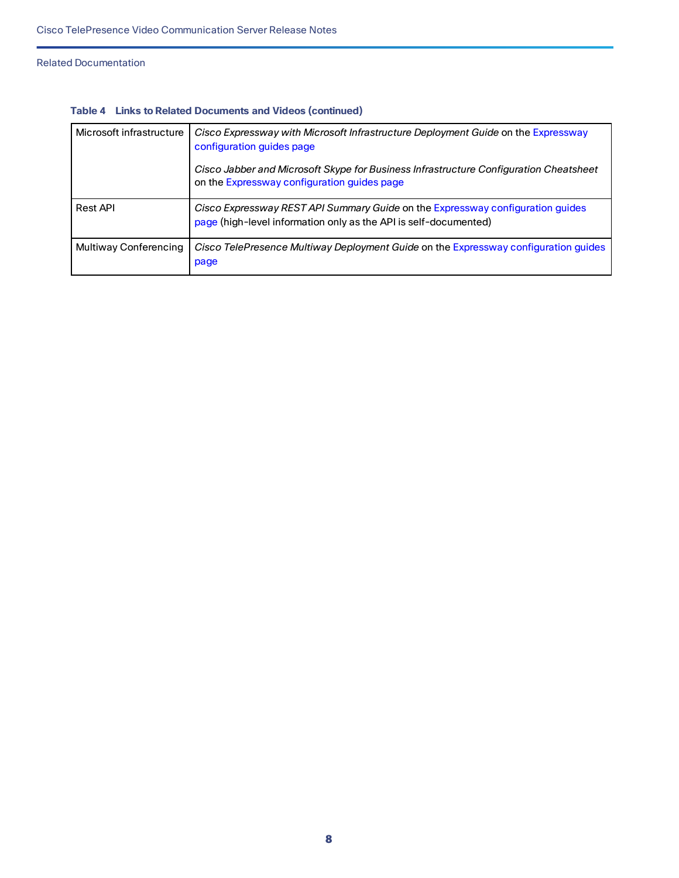#### Related Documentation

| Microsoft infrastructure | Cisco Expressway with Microsoft Infrastructure Deployment Guide on the Expressway<br>configuration guides page<br>Cisco Jabber and Microsoft Skype for Business Infrastructure Configuration Cheatsheet<br>on the Expressway configuration guides page |
|--------------------------|--------------------------------------------------------------------------------------------------------------------------------------------------------------------------------------------------------------------------------------------------------|
| <b>Rest API</b>          | Cisco Expressway REST API Summary Guide on the Expressway configuration guides<br>page (high-level information only as the API is self-documented)                                                                                                     |
| Multiway Conferencing    | Cisco TelePresence Multiway Deployment Guide on the Expressway configuration guides<br>page                                                                                                                                                            |

#### **Table 4 Links to Related Documents and Videos (continued)**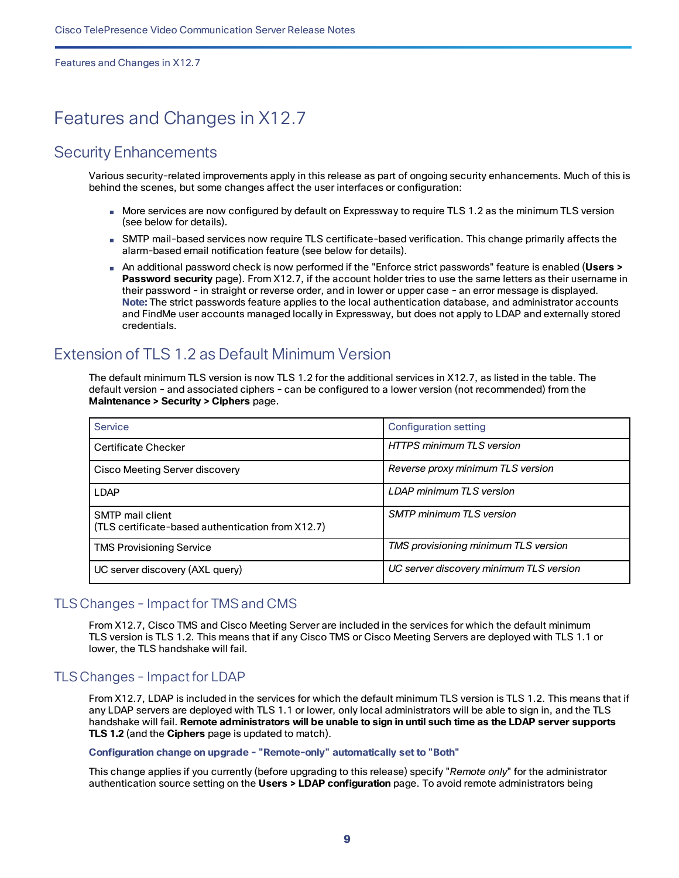Features and Changes in X12.7

# <span id="page-8-0"></span>Features and Changes in X12.7

### <span id="page-8-1"></span>Security Enhancements

Various security-related improvements apply in this release as part of ongoing security enhancements. Much of this is behind the scenes, but some changes affect the user interfaces or configuration:

- More services are now configured by default on Expressway to require TLS 1.2 as the minimum TLS version (see below for details).
- SMTP mail-based services now require TLS certificate-based verification. This change primarily affects the alarm-based email notification feature (see below for details).
- An additional password check is now performed if the "Enforce strict passwords" feature is enabled (**Users > Password security** page). From X12.7, if the account holder tries to use the same letters as their username in their password - in straight or reverse order, and in lower or upper case - an error message is displayed. **Note:** The strict passwords feature applies to the local authentication database, and administrator accounts and FindMe user accounts managed locally in Expressway, but does not apply to LDAP and externally stored credentials.

### <span id="page-8-2"></span>Extension of TLS 1.2 as Default Minimum Version

The default minimum TLS version is now TLS 1.2 for the additional services in X12.7, as listed in the table. The default version - and associated ciphers - can be configured to a lower version (not recommended) from the **Maintenance > Security > Ciphers** page.

| Service                                                                      | <b>Configuration setting</b>            |
|------------------------------------------------------------------------------|-----------------------------------------|
| <b>Certificate Checker</b>                                                   | <b>HTTPS minimum TLS version</b>        |
| Cisco Meeting Server discovery                                               | Reverse proxy minimum TLS version       |
| <b>LDAP</b>                                                                  | LDAP minimum TLS version                |
| <b>SMTP</b> mail client<br>(TLS certificate-based authentication from X12.7) | <b>SMTP</b> minimum TLS version         |
| <b>TMS Provisioning Service</b>                                              | TMS provisioning minimum TLS version    |
| UC server discovery (AXL query)                                              | UC server discovery minimum TLS version |

#### TLS Changes - Impact for TMS and CMS

From X12.7, Cisco TMS and Cisco Meeting Server are included in the services for which the default minimum TLS version is TLS 1.2. This means that if any Cisco TMS or Cisco Meeting Servers are deployed with TLS 1.1 or lower, the TLS handshake will fail.

#### TLS Changes - Impact for LDAP

From X12.7, LDAP is included in the services for which the default minimum TLS version is TLS 1.2. This means that if any LDAP servers are deployed with TLS 1.1 or lower, only local administrators will be able to sign in, and the TLS handshake will fail. **Remote administrators will be unable to sign in until such time as the LDAP server supports TLS 1.2** (and the **Ciphers** page is updated to match).

#### **Configuration change on upgrade - "Remote-only" automatically set to "Both"**

This change applies if you currently (before upgrading to this release) specify "*Remote only*" for the administrator authentication source setting on the **Users > LDAP configuration** page. To avoid remote administrators being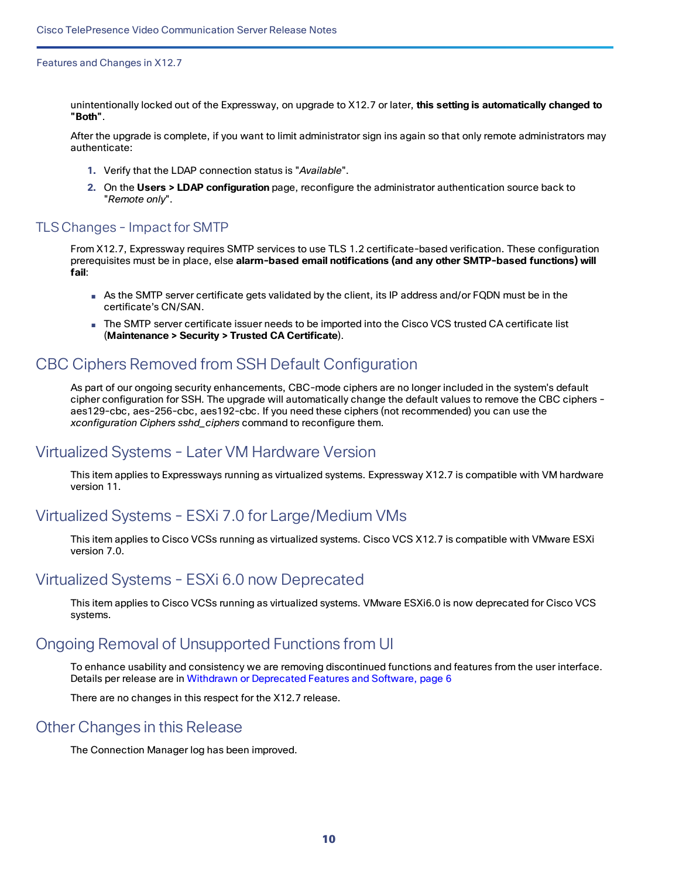Features and Changes in X12.7

unintentionally locked out of the Expressway, on upgrade to X12.7 or later, **this setting is automatically changed to "Both"**.

After the upgrade is complete, if you want to limit administrator sign ins again so that only remote administrators may authenticate:

- **1.** Verify that the LDAP connection status is "*Available*".
- **2.** On the **Users > LDAP configuration** page, reconfigure the administrator authentication source back to "*Remote only*".

#### TLS Changes - Impact for SMTP

From X12.7, Expressway requires SMTP services to use TLS 1.2 certificate-based verification. These configuration prerequisites must be in place, else **alarm-based email notifications (and any other SMTP-based functions) will fail**:

- As the SMTP server certificate gets validated by the client, its IP address and/or FQDN must be in the certificate's CN/SAN.
- The SMTP server certificate issuer needs to be imported into the Cisco VCS trusted CA certificate list (**Maintenance > Security > Trusted CA Certificate**).

### <span id="page-9-0"></span>CBC Ciphers Removed from SSH Default Configuration

As part of our ongoing security enhancements, CBC-mode ciphers are no longer included in the system's default cipher configuration for SSH. The upgrade will automatically change the default values to remove the CBC ciphers aes129-cbc, aes-256-cbc, aes192-cbc. If you need these ciphers (not recommended) you can use the *xconfiguration Ciphers sshd\_ciphers* command to reconfigure them.

### <span id="page-9-1"></span>Virtualized Systems - Later VM Hardware Version

This item applies to Expressways running as virtualized systems. Expressway X12.7 is compatible with VM hardware version 11.

### <span id="page-9-2"></span>Virtualized Systems - ESXi 7.0 for Large/Medium VMs

This item applies to Cisco VCSs running as virtualized systems. Cisco VCS X12.7 is compatible with VMware ESXi version 7.0.

### <span id="page-9-3"></span>Virtualized Systems - ESXi 6.0 now Deprecated

This item applies to Cisco VCSs running as virtualized systems. VMware ESXi6.0 is now deprecated for Cisco VCS systems.

### <span id="page-9-4"></span>Ongoing Removal of Unsupported Functions from UI

To enhance usability and consistency we are removing discontinued functions and features from the user interface. Details per release are in Withdrawn or [Deprecated](#page-5-0) Features and Software, page 6

There are no changes in this respect for the X12.7 release.

#### <span id="page-9-5"></span>Other Changes in this Release

The Connection Manager log has been improved.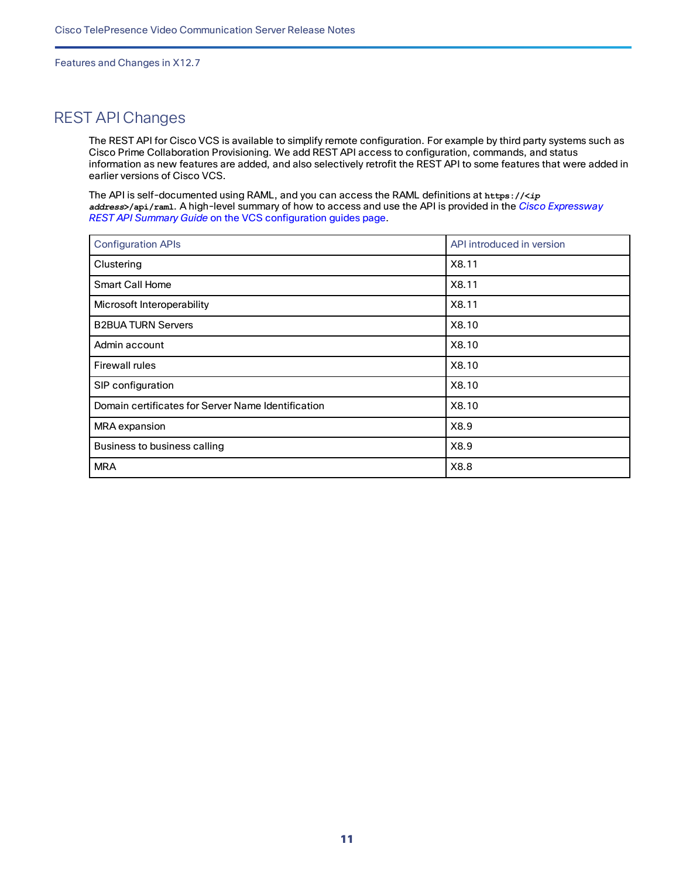Features and Changes in X12.7

### <span id="page-10-0"></span>REST API Changes

The REST API for Cisco VCS is available to simplify remote configuration. For example by third party systems such as Cisco Prime Collaboration Provisioning. We add REST API access to configuration, commands, and status information as new features are added, and also selectively retrofit the REST API to some features that were added in earlier versions of Cisco VCS.

The API is self-documented using RAML, and you can access the RAML definitions at **https://<***ip address***>/api/raml**. A high-level summary of how to access and use the API is provided in the *Cisco [Expressway](http://www.cisco.com/c/en/us/support/unified-communications/expressway-series/products-installation-and-configuration-guides-list.html) [REST API Summary](http://www.cisco.com/c/en/us/support/unified-communications/telepresence-video-communication-server-vcs/products-installation-and-configuration-guides-list.html) Guide* on the VCS configuration guides page.

| <b>Configuration APIs</b>                          | API introduced in version |
|----------------------------------------------------|---------------------------|
| Clustering                                         | X8.11                     |
| <b>Smart Call Home</b>                             | X8.11                     |
| Microsoft Interoperability                         | X8.11                     |
| <b>B2BUA TURN Servers</b>                          | X8.10                     |
| Admin account                                      | X8.10                     |
| <b>Firewall rules</b>                              | X8.10                     |
| SIP configuration                                  | X8.10                     |
| Domain certificates for Server Name Identification | X8.10                     |
| MRA expansion                                      | X8.9                      |
| Business to business calling                       | X8.9                      |
| <b>MRA</b>                                         | X8.8                      |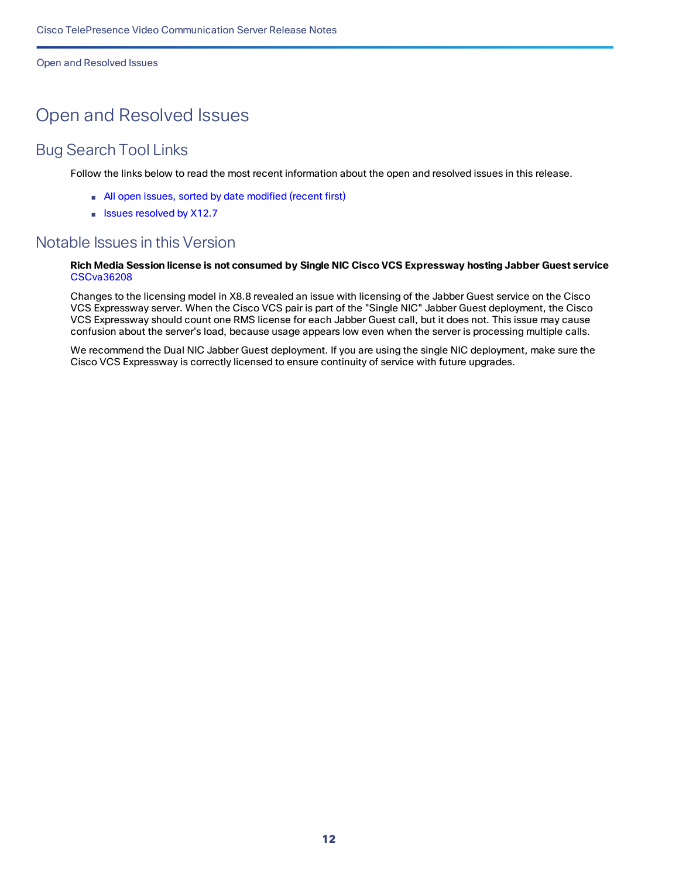Open and Resolved Issues

# <span id="page-11-0"></span>Open and Resolved Issues

### <span id="page-11-1"></span>Bug Search Tool Links

Follow the links below to read the most recent information about the open and resolved issues in this release.

- All open issues, sorted by date [modified](https://tools.cisco.com/bugsearch/search?kw=*&pf=prdNm&pfVal=283613663&sb=anfr&sts=open&svr=3nH&srtBy=recMdf&bt=custV) (recent first)
- Issues [resolved](https://bst.cloudapps.cisco.com/bugsearch/search?kw=*&pf=prdNm&pfVal=283613663&rls=X12.7&sb=anfr&sts=fd&svr=3nH&srtBy=recMdf&bt=custV) by X12.7

### <span id="page-11-2"></span>Notable Issues in this Version

#### Rich M[e](https://tools.cisco.com/bugsearch/bug/CSCva36208)dia Session license is not consumed by Single NIC Cisco VCS Expressway hosting Jabber Guest service [CSCva36208](https://tools.cisco.com/bugsearch/bug/CSCva36208)

Changes to the licensing model in X8.8 revealed an issue with licensing of the Jabber Guest service on the Cisco VCS Expressway server. When the Cisco VCS pair is part of the "Single NIC" Jabber Guest deployment, the Cisco VCS Expressway should count one RMS license for each Jabber Guest call, but it does not. This issue may cause confusion about the server's load, because usage appears low even when the server is processing multiple calls.

We recommend the Dual NIC Jabber Guest deployment. If you are using the single NIC deployment, make sure the Cisco VCS Expressway is correctly licensed to ensure continuity of service with future upgrades.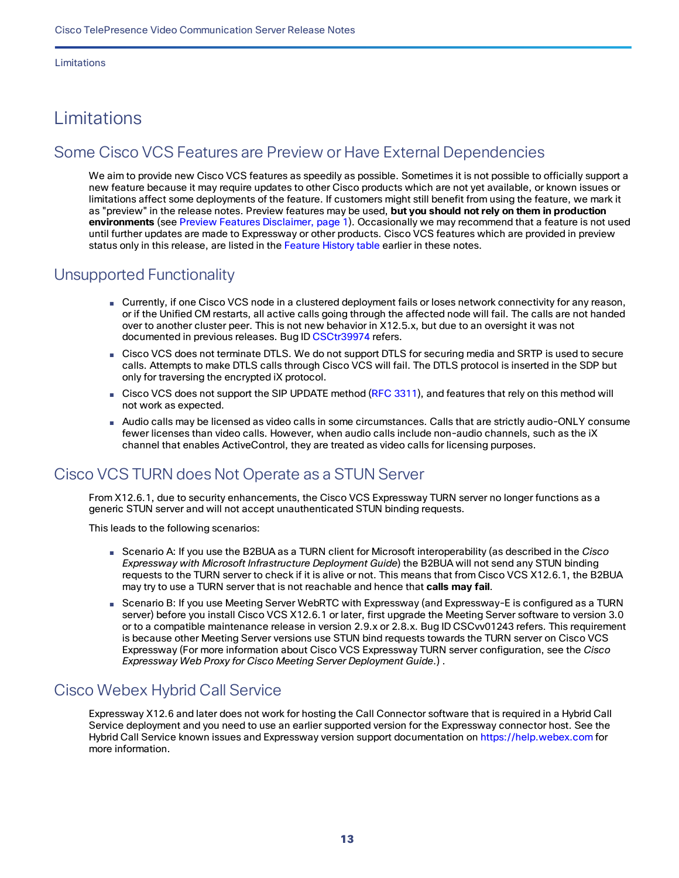Limitations

# <span id="page-12-0"></span>Limitations

### <span id="page-12-1"></span>Some Cisco VCS Features are Preview or Have External Dependencies

We aim to provide new Cisco VCS features as speedily as possible. Sometimes it is not possible to officially support a new feature because it may require updates to other Cisco products which are not yet available, or known issues or limitations affect some deployments of the feature. If customers might still benefit from using the feature, we mark it as "preview" in the release notes. Preview features may be used, **but you should not rely on them in production environments** (see Preview Features Disclaimer, page 1). Occasionally we may recommend that a feature is not used until further updates are made to Expressway or other products. Cisco VCS features which are provided in preview status only in this release, are listed in the Feature History table earlier in these notes.

### <span id="page-12-2"></span>Unsupported Functionality

- Currently, if one Cisco VCS node in a clustered deployment fails or loses network connectivity for any reason, or if the Unified CM restarts, all active calls going through the affected node will fail. The calls are not handed over to another cluster peer. This is not new behavior in X12.5.x, but due to an oversight it was not documented in previous releases. Bug ID [CSCtr39974](https://bst.cloudapps.cisco.com/bugsearch/bug/csctr39974) refers.
- Cisco VCS does not terminate DTLS. We do not support DTLS for securing media and SRTP is used to secure calls. Attempts to make DTLS calls through Cisco VCS will fail. The DTLS protocol is inserted in the SDP but only for traversing the encrypted iX protocol.
- Cisco VCS does not support the SIP UPDATE method (RFC [3311](https://tools.ietf.org/html/rfc3311)), and features that rely on this method will not work as expected.
- Audio calls may be licensed as video calls in some circumstances. Calls that are strictly audio-ONLY consume fewer licenses than video calls. However, when audio calls include non-audio channels, such as the iX channel that enables ActiveControl, they are treated as video calls for licensing purposes.

### <span id="page-12-3"></span>Cisco VCS TURN does Not Operate as a STUN Server

From X12.6.1, due to security enhancements, the Cisco VCS Expressway TURN server no longer functions as a generic STUN server and will not accept unauthenticated STUN binding requests.

This leads to the following scenarios:

- Scenario A: If you use the B2BUA as a TURN client for Microsoft interoperability (as described in the *Cisco Expressway with Microsoft Infrastructure Deployment Guide*) the B2BUA will not send any STUN binding requests to the TURN server to check if it is alive or not. This means that from Cisco VCS X12.6.1, the B2BUA may try to use a TURN server that is not reachable and hence that **calls may fail**.
- Scenario B: If you use Meeting Server WebRTC with Expressway (and Expressway-E is configured as a TURN server) before you install Cisco VCS X12.6.1 or later, first upgrade the Meeting Server software to version 3.0 or to a compatible maintenance release in version 2.9.x or 2.8.x. Bug ID CSCvv01243 refers. This requirement is because other Meeting Server versions use STUN bind requests towards the TURN server on Cisco VCS Expressway (For more information about Cisco VCS Expressway TURN server configuration, see the *Cisco Expressway Web Proxy for Cisco Meeting Server Deployment Guide*.) .

### <span id="page-12-4"></span>Cisco Webex Hybrid Call Service

Expressway X12.6 and later does not work for hosting the Call Connector software that is required in a Hybrid Call Service deployment and you need to use an earlier supported version for the Expressway connector host. See the Hybrid Call Service known issues and Expressway version support documentation on [https://help.webex.com](https://help.webex.com/) for more information.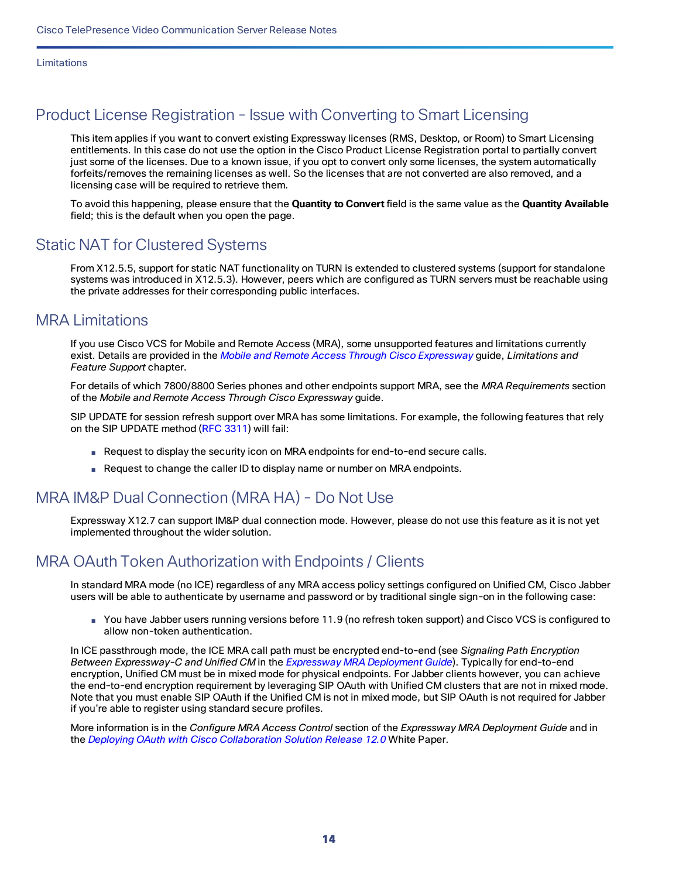### <span id="page-13-0"></span>Product License Registration - Issue with Converting to Smart Licensing

This item applies if you want to convert existing Expressway licenses (RMS, Desktop, or Room) to Smart Licensing entitlements. In this case do not use the option in the Cisco Product License Registration portal to partially convert just some of the licenses. Due to a known issue, if you opt to convert only some licenses, the system automatically forfeits/removes the remaining licenses as well. So the licenses that are not converted are also removed, and a licensing case will be required to retrieve them.

To avoid this happening, please ensure that the **Quantity to Convert** field is the same value as the **Quantity Available** field; this is the default when you open the page.

### <span id="page-13-1"></span>Static NAT for Clustered Systems

From X12.5.5, support for static NAT functionality on TURN is extended to clustered systems (support for standalone systems was introduced in X12.5.3). However, peers which are configured as TURN servers must be reachable using the private addresses for their corresponding public interfaces.

### <span id="page-13-2"></span>MRA Limitations

If you use Cisco VCS for Mobile and Remote Access (MRA), some unsupported features and limitations currently exist. Details are provided in the *Mobile and Remote Access Through Cisco [Expressway](http://www.cisco.com/c/en/us/support/unified-communications/expressway-series/products-installation-and-configuration-guides-list.html)* guide, *Limitations and Feature Support* chapter.

For details of which 7800/8800 Series phones and other endpoints support MRA, see the *MRA Requirements* section of the *Mobile and Remote Access Through Cisco Expressway* guide.

SIP UPDATE for session refresh support over MRA has some limitations. For example, the following features that rely on the SIP UPDATE method (RFC [3311\)](https://tools.ietf.org/html/rfc3311) will fail:

- Request to display the security icon on MRA endpoints for end-to-end secure calls.
- Request to change the caller ID to display name or number on MRA endpoints.

### <span id="page-13-3"></span>MRA IM&P Dual Connection (MRA HA) - Do Not Use

Expressway X12.7 can support IM&P dual connection mode. However, please do not use this feature as it is not yet implemented throughout the wider solution.

### <span id="page-13-4"></span>MRA OAuth Token Authorization with Endpoints / Clients

In standard MRA mode (no ICE) regardless of any MRA access policy settings configured on Unified CM, Cisco Jabber users will be able to authenticate by username and password or by traditional single sign-on in the following case:

■ You have Jabber users running versions before 11.9 (no refresh token support) and Cisco VCS is configured to allow non-token authentication.

In ICE passthrough mode, the ICE MRA call path must be encrypted end-to-end (see *Signaling Path Encryption Between Expressway-C and Unified CM* in the *[Expressway](https://www.cisco.com/c/en/us/support/unified-communications/expressway-series/products-installation-and-configuration-guides-list.html) MRA Deployment Guide*). Typically for end-to-end encryption, Unified CM must be in mixed mode for physical endpoints. For Jabber clients however, you can achieve the end-to-end encryption requirement by leveraging SIP OAuth with Unified CM clusters that are not in mixed mode. Note that you must enable SIP OAuth if the Unified CM is not in mixed mode, but SIP OAuth is not required for Jabber if you're able to register using standard secure profiles.

More information is in the *Configure MRA Access Control* section of the *Expressway MRA Deployment Guide* and in the *Deploying OAuth with Cisco Collaboration Solution Release 12.0* White Paper.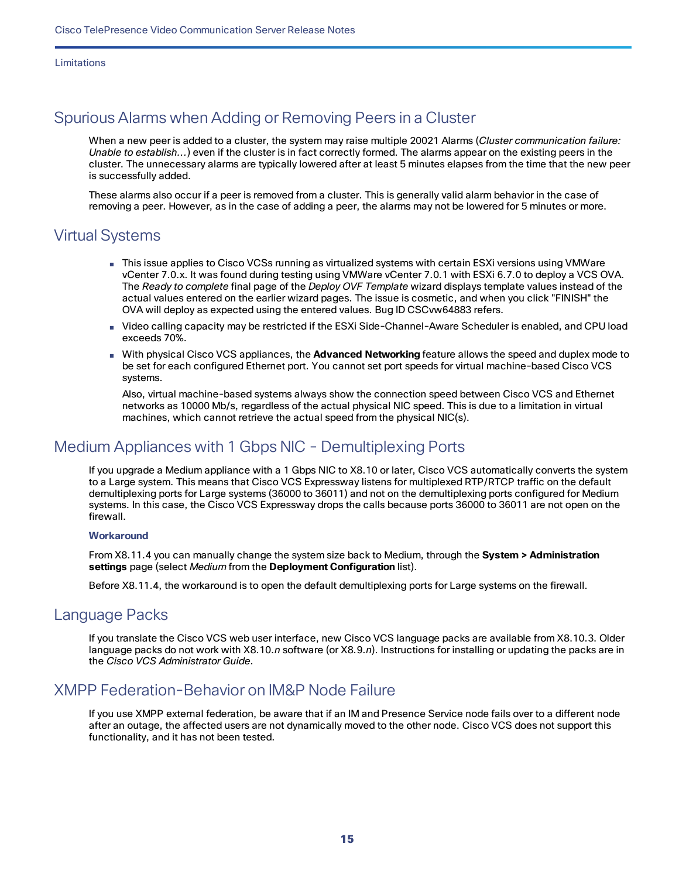Limitations

### <span id="page-14-0"></span>Spurious Alarms when Adding or Removing Peers in a Cluster

When a new peer is added to a cluster, the system may raise multiple 20021 Alarms (*Cluster communication failure: Unable to establish...*) even if the cluster is in fact correctly formed. The alarms appear on the existing peers in the cluster. The unnecessary alarms are typically lowered after at least 5 minutes elapses from the time that the new peer is successfully added.

These alarms also occur if a peer is removed from a cluster. This is generally valid alarm behavior in the case of removing a peer. However, as in the case of adding a peer, the alarms may not be lowered for 5 minutes or more.

### <span id="page-14-1"></span>Virtual Systems

- This issue applies to Cisco VCSs running as virtualized systems with certain ESXi versions using VMWare vCenter 7.0.x. It was found during testing using VMWare vCenter 7.0.1 with ESXi 6.7.0 to deploy a VCS OVA. The *Ready to complete* final page of the *Deploy OVF Template* wizard displays template values instead of the actual values entered on the earlier wizard pages. The issue is cosmetic, and when you click "FINISH" the OVA will deploy as expected using the entered values. Bug ID CSCvw64883 refers.
- Video calling capacity may be restricted if the ESXi Side-Channel-Aware Scheduler is enabled, and CPU load exceeds 70%.
- With physical Cisco VCS appliances, the **Advanced Networking** feature allows the speed and duplex mode to be set for each configured Ethernet port. You cannot set port speeds for virtual machine-based Cisco VCS systems.

Also, virtual machine-based systems always show the connection speed between Cisco VCS and Ethernet networks as 10000 Mb/s, regardless of the actual physical NIC speed. This is due to a limitation in virtual machines, which cannot retrieve the actual speed from the physical NIC(s).

### <span id="page-14-2"></span>Medium Appliances with 1 Gbps NIC - Demultiplexing Ports

If you upgrade a Medium appliance with a 1 Gbps NIC to X8.10 or later, Cisco VCS automatically converts the system to a Large system. This means that Cisco VCS Expressway listens for multiplexed RTP/RTCP traffic on the default demultiplexing ports for Large systems (36000 to 36011) and not on the demultiplexing ports configured for Medium systems. In this case, the Cisco VCS Expressway drops the calls because ports 36000 to 36011 are not open on the firewall.

#### **Workaround**

From X8.11.4 you can manually change the system size back to Medium, through the **System > Administration settings** page (select *Medium* from the **Deployment Configuration** list).

Before X8.11.4, the workaround is to open the default demultiplexing ports for Large systems on the firewall.

### <span id="page-14-3"></span>Language Packs

If you translate the Cisco VCS web user interface, new Cisco VCS language packs are available from X8.10.3. Older language packs do not work with X8.10.*n* software (or X8.9.*n*). Instructions for installing or updating the packs are in the *Cisco VCS Administrator Guide*.

### <span id="page-14-4"></span>XMPP Federation-Behavior on IM&P Node Failure

If you use XMPP external federation, be aware that if an IM and Presence Service node fails over to a different node after an outage, the affected users are not dynamically moved to the other node. Cisco VCS does not support this functionality, and it has not been tested.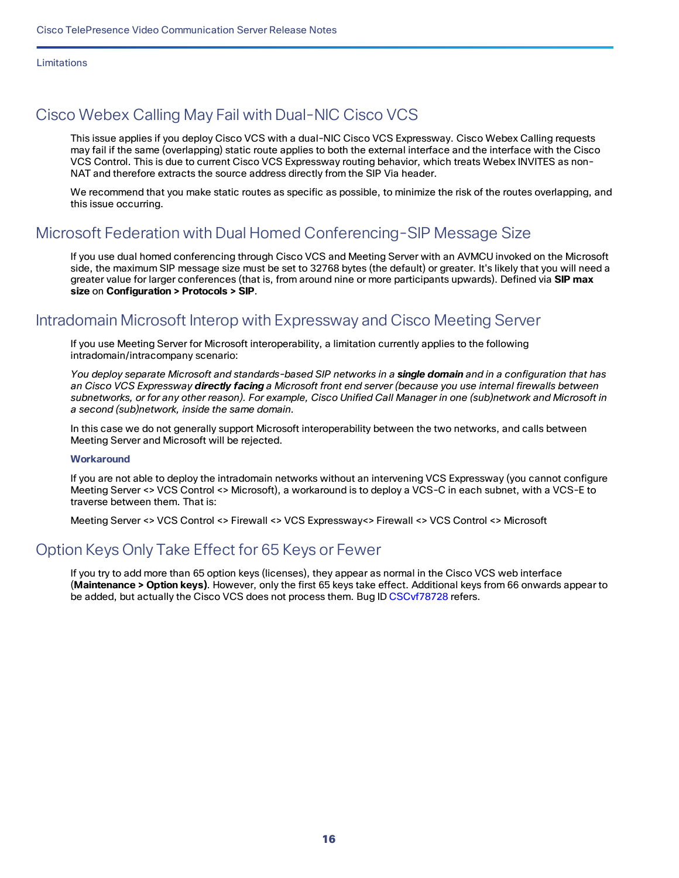Limitations

### <span id="page-15-0"></span>Cisco Webex Calling May Fail with Dual-NIC Cisco VCS

This issue applies if you deploy Cisco VCS with a dual-NIC Cisco VCS Expressway. Cisco Webex Calling requests may fail if the same (overlapping) static route applies to both the external interface and the interface with the Cisco VCS Control. This is due to current Cisco VCS Expressway routing behavior, which treats Webex INVITES as non-NAT and therefore extracts the source address directly from the SIP Via header.

We recommend that you make static routes as specific as possible, to minimize the risk of the routes overlapping, and this issue occurring.

### <span id="page-15-1"></span>Microsoft Federation with Dual Homed Conferencing-SIP Message Size

If you use dual homed conferencing through Cisco VCS and Meeting Server with an AVMCU invoked on the Microsoft side, the maximum SIP message size must be set to 32768 bytes (the default) or greater. It's likely that you will need a greater value for larger conferences (that is, from around nine or more participants upwards). Defined via **SIP max size** on **Configuration > Protocols > SIP**.

### <span id="page-15-2"></span>Intradomain Microsoft Interop with Expressway and Cisco Meeting Server

If you use Meeting Server for Microsoft interoperability, a limitation currently applies to the following intradomain/intracompany scenario:

You deploy separate Microsoft and standards-based SIP networks in a single domain and in a configuration that has an Cisco VCS Expressway **directly facing** a Microsoft front end server (because you use internal firewalls between subnetworks, or for any other reason). For example, Cisco Unified Call Manager in one (sub)network and Microsoft in *a second (sub)network, inside the same domain.*

In this case we do not generally support Microsoft interoperability between the two networks, and calls between Meeting Server and Microsoft will be rejected.

#### **Workaround**

If you are not able to deploy the intradomain networks without an intervening VCS Expressway (you cannot configure Meeting Server <> VCS Control <> Microsoft), a workaround is to deploy a VCS-C in each subnet, with a VCS-E to traverse between them. That is:

Meeting Server <> VCS Control <> Firewall <> VCS Expressway<> Firewall <> VCS Control <> Microsoft

### <span id="page-15-3"></span>Option Keys Only Take Effect for 65 Keys or Fewer

If you try to add more than 65 option keys (licenses), they appear as normal in the Cisco VCS web interface (**Maintenance > Option keys)**. However, only the first 65 keys take effect. Additional keys from 66 onwards appear to be added, but actually the Cisco VCS does not process them. Bug ID [CSCvf78728](https://bst.cloudapps.cisco.com/bugsearch/bug/cscvf78728) refers.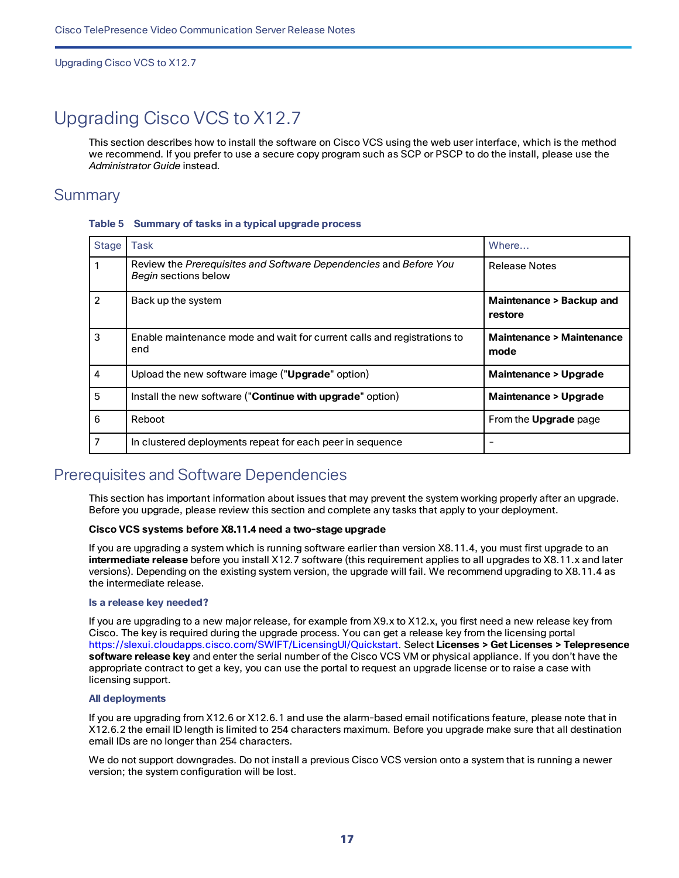# <span id="page-16-0"></span>Upgrading Cisco VCS to X12.7

This section describes how to install the software on Cisco VCS using the web user interface, which is the method we recommend. If you prefer to use a secure copy program such as SCP or PSCP to do the install, please use the *Administrator Guide* instead.

### <span id="page-16-1"></span>**Summary**

| <b>Stage</b>   | <b>Task</b>                                                                               | Where                                       |
|----------------|-------------------------------------------------------------------------------------------|---------------------------------------------|
|                | Review the Prerequisites and Software Dependencies and Before You<br>Begin sections below | <b>Release Notes</b>                        |
| $\overline{2}$ | Back up the system                                                                        | Maintenance > Backup and<br>restore         |
| 3              | Enable maintenance mode and wait for current calls and registrations to<br>end            | <b>Maintenance &gt; Maintenance</b><br>mode |
| $\overline{4}$ | Upload the new software image ("Upgrade" option)                                          | <b>Maintenance &gt; Upgrade</b>             |
| 5              | Install the new software ("Continue with upgrade" option)                                 | <b>Maintenance &gt; Upgrade</b>             |
| 6              | Reboot                                                                                    | From the <b>Upgrade</b> page                |
| $\overline{7}$ | In clustered deployments repeat for each peer in sequence                                 |                                             |

#### **Table 5 Summary of tasks in a typical upgrade process**

### <span id="page-16-2"></span>Prerequisites and Software Dependencies

This section has important information about issues that may prevent the system working properly after an upgrade. Before you upgrade, please review this section and complete any tasks that apply to your deployment.

#### **Cisco VCS systems before X8.11.4 need a two-stage upgrade**

If you are upgrading a system which is running software earlier than version X8.11.4, you must first upgrade to an **intermediate release** before you install X12.7 software (this requirement applies to all upgrades to X8.11.x and later versions). Depending on the existing system version, the upgrade will fail. We recommend upgrading to X8.11.4 as the intermediate release.

#### **Is a release key needed?**

If you are upgrading to a new major release, for example from X9.x to X12.x, you first need a new release key from Cisco. The key is required during the upgrade process. You can get a release key from the licensing portal https://slexui.cloudapps.cisco.com/SWIFT/LicensingUI/Quickstart. Select **Licenses > Get Licenses > Telepresence software release key** and enter the serial number of the Cisco VCS VM or physical appliance. If you don't have the appropriate contract to get a key, you can use the portal to request an upgrade license or to raise a case with licensing support.

#### **All deployments**

If you are upgrading from X12.6 or X12.6.1 and use the alarm-based email notifications feature, please note that in X12.6.2 the email ID length is limited to 254 characters maximum. Before you upgrade make sure that all destination email IDs are no longer than 254 characters.

We do not support downgrades. Do not install a previous Cisco VCS version onto a system that is running a newer version; the system configuration will be lost.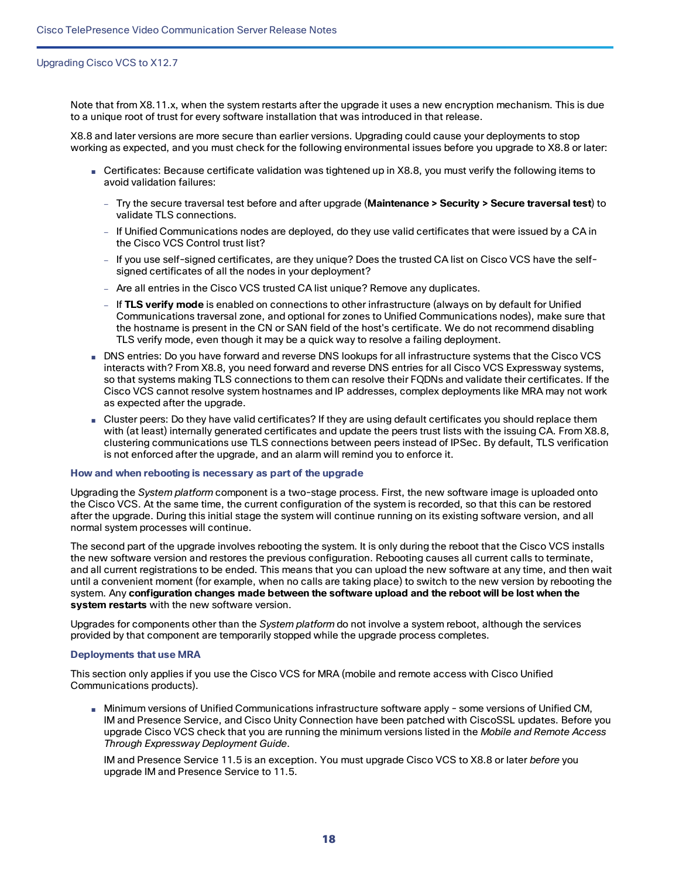Note that from X8.11.x, when the system restarts after the upgrade it uses a new encryption mechanism. This is due to a unique root of trust for every software installation that was introduced in that release.

X8.8 and later versions are more secure than earlier versions. Upgrading could cause your deployments to stop working as expected, and you must check for the following environmental issues before you upgrade to X8.8 or later:

- Certificates: Because certificate validation was tightened up in X8.8, you must verify the following items to avoid validation failures:
	- Try the secure traversal test before and after upgrade (**Maintenance > Security > Secure traversal test**) to validate TLS connections.
	- If Unified Communications nodes are deployed, do they use valid certificates that were issued by a CA in the Cisco VCS Control trust list?
	- If you use self-signed certificates, are they unique? Does the trusted CA list on Cisco VCS have the selfsigned certificates of all the nodes in your deployment?
	- Are all entries in the Cisco VCS trusted CA list unique? Remove any duplicates.
	- If **TLS verify mode** is enabled on connections to other infrastructure (always on by default for Unified Communications traversal zone, and optional for zones to Unified Communications nodes), make sure that the hostname is present in the CN or SAN field of the host's certificate. We do not recommend disabling TLS verify mode, even though it may be a quick way to resolve a failing deployment.
- DNS entries: Do you have forward and reverse DNS lookups for all infrastructure systems that the Cisco VCS interacts with? From X8.8, you need forward and reverse DNS entries for all Cisco VCS Expressway systems, so that systems making TLS connections to them can resolve their FQDNs and validate their certificates. If the Cisco VCS cannot resolve system hostnames and IP addresses, complex deployments like MRA may not work as expected after the upgrade.
- Cluster peers: Do they have valid certificates? If they are using default certificates you should replace them with (at least) internally generated certificates and update the peers trust lists with the issuing CA. From X8.8, clustering communications use TLS connections between peers instead of IPSec. By default, TLS verification is not enforced after the upgrade, and an alarm will remind you to enforce it.

#### **How and when rebooting is necessary as part of the upgrade**

Upgrading the *System platform* component is a two-stage process. First, the new software image is uploaded onto the Cisco VCS. At the same time, the current configuration of the system is recorded, so that this can be restored after the upgrade. During this initial stage the system will continue running on its existing software version, and all normal system processes will continue.

The second part of the upgrade involves rebooting the system. It is only during the reboot that the Cisco VCS installs the new software version and restores the previous configuration. Rebooting causes all current calls to terminate, and all current registrations to be ended. This means that you can upload the new software at any time, and then wait until a convenient moment (for example, when no calls are taking place) to switch to the new version by rebooting the system. Any **configuration changes made between the software upload and the reboot will be lost when the system restarts** with the new software version.

Upgrades for components other than the *System platform* do not involve a system reboot, although the services provided by that component are temporarily stopped while the upgrade process completes.

#### **Deployments that use MRA**

This section only applies if you use the Cisco VCS for MRA (mobile and remote access with Cisco Unified Communications products).

■ Minimum versions of Unified Communications infrastructure software apply - some versions of Unified CM, IM and Presence Service, and Cisco Unity Connection have been patched with CiscoSSL updates. Before you upgrade Cisco VCS check that you are running the minimum versions listed in the *Mobile and Remote Access Through Expressway Deployment Guide*.

IM and Presence Service 11.5 is an exception. You must upgrade Cisco VCS to X8.8 or later *before* you upgrade IM and Presence Service to 11.5.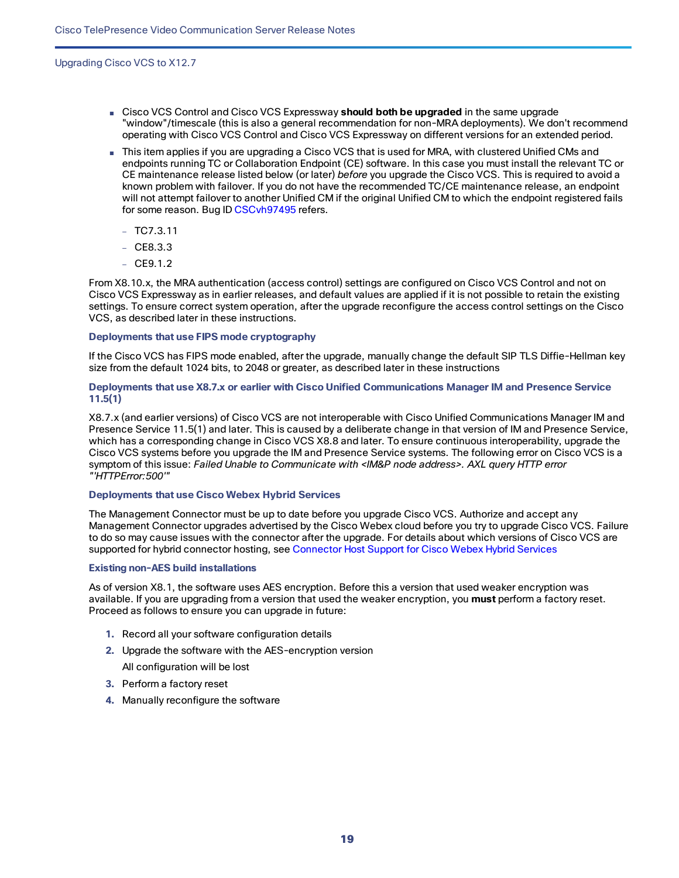- Cisco VCS Control and Cisco VCS Expressway **should both be upgraded** in the same upgrade "window"/timescale (this is also a general recommendation for non-MRA deployments). We don't recommend operating with Cisco VCS Control and Cisco VCS Expressway on different versions for an extended period.
- This item applies if you are upgrading a Cisco VCS that is used for MRA, with clustered Unified CMs and endpoints running TC or Collaboration Endpoint (CE) software. In this case you must install the relevant TC or CE maintenance release listed below (or later) *before* you upgrade the Cisco VCS. This is required to avoid a known problem with failover. If you do not have the recommended TC/CE maintenance release, an endpoint will not attempt failover to another Unified CM if the original Unified CM to which the endpoint registered fails for some reason. Bug ID [CSCvh97495](https://bst.cloudapps.cisco.com/bugsearch/bug/CSCvh97495) refers.
	- $TO7.3.11$
	- $-$  CE8.3.3
	- $-$  CE9.1.2

From X8.10.x, the MRA authentication (access control) settings are configured on Cisco VCS Control and not on Cisco VCS Expressway as in earlier releases, and default values are applied if it is not possible to retain the existing settings. To ensure correct system operation, after the upgrade reconfigure the access control settings on the Cisco VCS, as described later in these instructions.

#### **Deployments that use FIPS mode cryptography**

If the Cisco VCS has FIPS mode enabled, after the upgrade, manually change the default SIP TLS Diffie-Hellman key size from the default 1024 bits, to 2048 or greater, as described later in these instructions

#### **Deployments that use X8.7.x or earlier with Cisco Unified Communications Manager IM and Presence Service 11.5(1)**

X8.7.x (and earlier versions) of Cisco VCS are not interoperable with Cisco Unified Communications Manager IM and Presence Service 11.5(1) and later. This is caused by a deliberate change in that version of IM and Presence Service, which has a corresponding change in Cisco VCS X8.8 and later. To ensure continuous interoperability, upgrade the Cisco VCS systems before you upgrade the IM and Presence Service systems. The following error on Cisco VCS is a symptom of this issue: *Failed Unable to Communicate with <IM&P node address>. AXL query HTTP error "'HTTPError:500'"*

#### **Deployments that use Cisco Webex Hybrid Services**

The Management Connector must be up to date before you upgrade Cisco VCS. Authorize and accept any Management Connector upgrades advertised by the Cisco Webex cloud before you try to upgrade Cisco VCS. Failure to do so may cause issues with the connector after the upgrade. For details about which versions of Cisco VCS are supported for hybrid connector hosting, see [Connector](https://collaborationhelp.cisco.com/article/en-us/ruyceab) Host Support for Cisco Webex Hybrid Services

#### **Existing non-AES build installations**

As of version X8.1, the software uses AES encryption. Before this a version that used weaker encryption was available. If you are upgrading from a version that used the weaker encryption, you **must** perform a factory reset. Proceed as follows to ensure you can upgrade in future:

- **1.** Record all your software configuration details
- **2.** Upgrade the software with the AES-encryption version

All configuration will be lost

- **3.** Perform a factory reset
- **4.** Manually reconfigure the software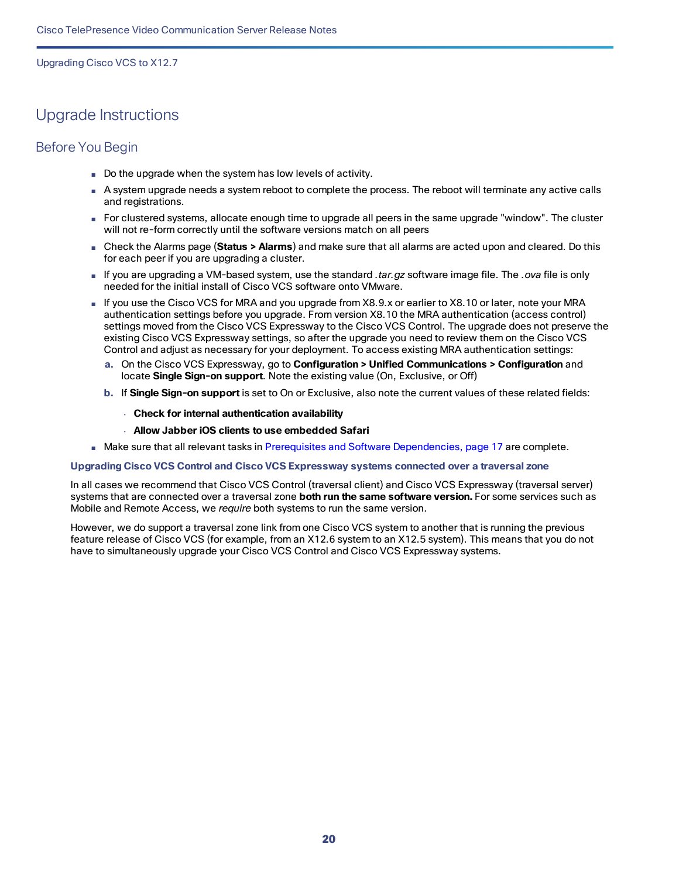### <span id="page-19-0"></span>Upgrade Instructions

#### Before You Begin

- Do the upgrade when the system has low levels of activity.
- A system upgrade needs a system reboot to complete the process. The reboot will terminate any active calls and registrations.
- For clustered systems, allocate enough time to upgrade all peers in the same upgrade "window". The cluster will not re-form correctly until the software versions match on all peers
- Check the Alarms page (**Status > Alarms**) and make sure that all alarms are acted upon and cleared. Do this for each peer if you are upgrading a cluster.
- If you are upgrading a VM-based system, use the standard *.tar.gz* software image file. The *.ova* file is only needed for the initial install of Cisco VCS software onto VMware.
- If you use the Cisco VCS for MRA and you upgrade from X8.9.x or earlier to X8.10 or later, note your MRA authentication settings before you upgrade. From version X8.10 the MRA authentication (access control) settings moved from the Cisco VCS Expressway to the Cisco VCS Control. The upgrade does not preserve the existing Cisco VCS Expressway settings, so after the upgrade you need to review them on the Cisco VCS Control and adjust as necessary for your deployment. To access existing MRA authentication settings:
	- **a.** On the Cisco VCS Expressway, go to **Configuration > Unified Communications > Configuration** and locate **Single Sign-on support**. Note the existing value (On, Exclusive, or Off)
	- **b.** If **Single Sign-on support** is set to On or Exclusive, also note the current values of these related fields:
		- **Check for internal authentication availability**
		- **Allow Jabber iOS clients to use embedded Safari**
- Make sure that all relevant tasks in Prerequisites and Software [Dependencies,](#page-16-2) page 17 are complete.

#### **Upgrading Cisco VCS Control and Cisco VCS Expressway systems connected over a traversal zone**

In all cases we recommend that Cisco VCS Control (traversal client) and Cisco VCS Expressway (traversal server) systems that are connected over a traversal zone **both run the same software version.** For some services such as Mobile and Remote Access, we *require* both systems to run the same version.

However, we do support a traversal zone link from one Cisco VCS system to another that is running the previous feature release of Cisco VCS (for example, from an X12.6 system to an X12.5 system). This means that you do not have to simultaneously upgrade your Cisco VCS Control and Cisco VCS Expressway systems.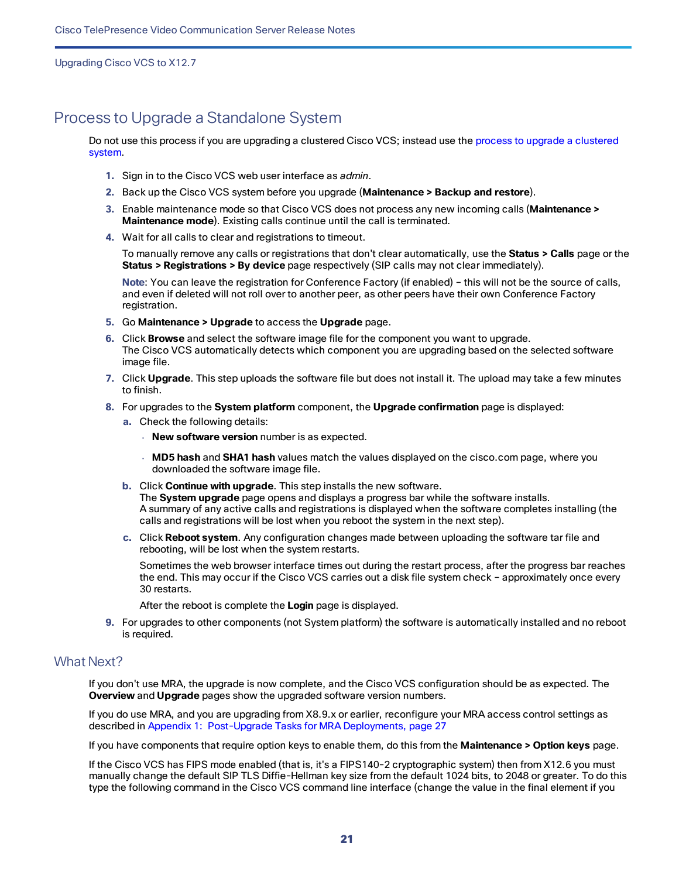### <span id="page-20-0"></span>Process to Upgrade a Standalone System

Do not use this process if you are upgrading a clustered Cisco VCS; instead use the process to upgrade a [clustered](#page-22-0) [system.](#page-22-0)

- **1.** Sign in to the Cisco VCS web user interface as *admin*.
- **2.** Back up the Cisco VCS system before you upgrade (**Maintenance > Backup and restore**).
- **3.** Enable maintenance mode so that Cisco VCS does not process any new incoming calls (**Maintenance > Maintenance mode**). Existing calls continue until the call is terminated.
- **4.** Wait for all calls to clear and registrations to timeout.

To manually remove any calls or registrations that don't clear automatically, use the **Status > Calls** page or the **Status > Registrations > By device** page respectively (SIP calls may not clear immediately).

**Note**: You can leave the registration for Conference Factory (if enabled) – this will not be the source of calls, and even if deleted will not roll over to another peer, as other peers have their own Conference Factory registration.

- **5.** Go **Maintenance > Upgrade** to access the **Upgrade** page.
- **6.** Click **Browse** and select the software image file for the component you want to upgrade. The Cisco VCS automatically detects which component you are upgrading based on the selected software image file.
- **7.** Click **Upgrade**. This step uploads the software file but does not install it. The upload may take a few minutes to finish.
- **8.** For upgrades to the **System platform** component, the **Upgrade confirmation** page is displayed:
	- **a.** Check the following details:
		- **New software version** number is as expected.
		- **MD5 hash** and **SHA1 hash** values match the values displayed on the cisco.com page, where you downloaded the software image file.
	- **b.** Click **Continue with upgrade**. This step installs the new software. The **System upgrade** page opens and displays a progress bar while the software installs. A summary of any active calls and registrations is displayed when the software completes installing (the calls and registrations will be lost when you reboot the system in the next step).
	- **c.** Click **Reboot system**. Any configuration changes made between uploading the software tar file and rebooting, will be lost when the system restarts.

Sometimes the web browser interface times out during the restart process, after the progress bar reaches the end. This may occur if the Cisco VCS carries out a disk file system check – approximately once every 30 restarts.

After the reboot is complete the **Login** page is displayed.

**9.** For upgrades to other components (not System platform) the software is automatically installed and no reboot is required.

#### What Next?

If you don't use MRA, the upgrade is now complete, and the Cisco VCS configuration should be as expected. The **Overview** and **Upgrade** pages show the upgraded software version numbers.

If you do use MRA, and you are upgrading from X8.9.x or earlier, reconfigure your MRA access control settings as described in Appendix [1: Post-Upgrade](#page-26-0) Tasks for MRA Deployments, page 27

If you have components that require option keys to enable them, do this from the **Maintenance > Option keys** page.

If the Cisco VCS has FIPS mode enabled (that is, it's a FIPS140-2 cryptographic system) then from X12.6 you must manually change the default SIP TLS Diffie-Hellman key size from the default 1024 bits, to 2048 or greater. To do this type the following command in the Cisco VCS command line interface (change the value in the final element if you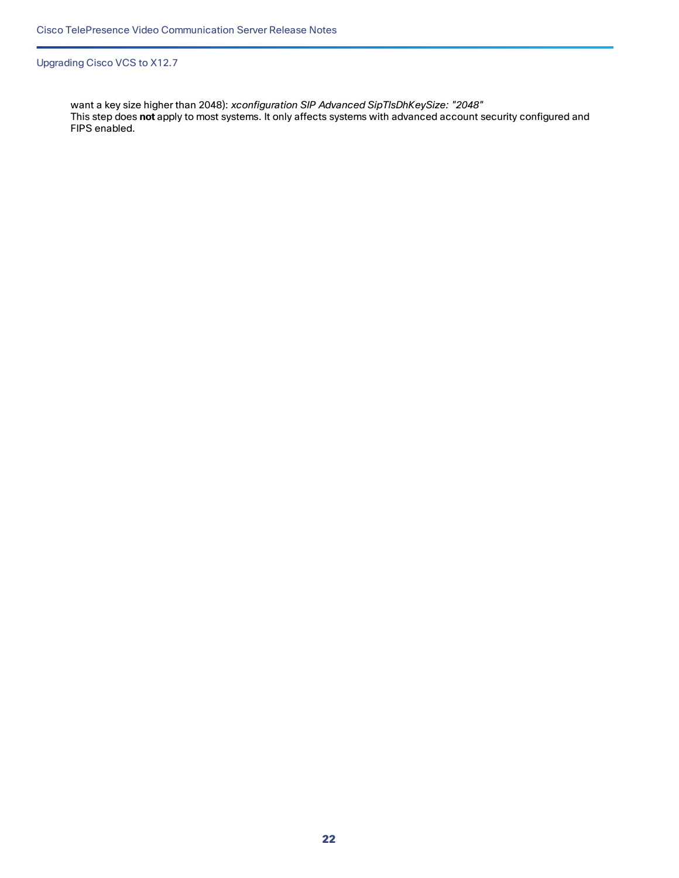want a key size higher than 2048): *xconfiguration SIP Advanced SipTlsDhKeySize: "2048"* This step does **not** apply to most systems. It only affects systems with advanced account security configured and FIPS enabled.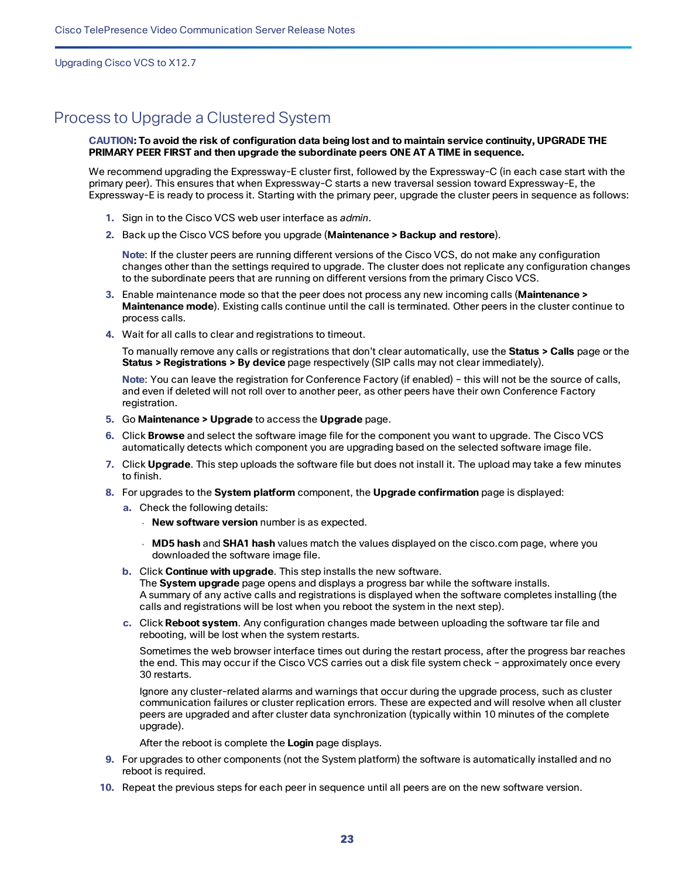### <span id="page-22-0"></span>Process to Upgrade a Clustered System

#### CAUTION: To avoid the risk of configuration data being lost and to maintain service continuity, UPGRADE THE **PRIMARY PEER FIRST and then upgrade the subordinate peers ONE AT A TIME in sequence.**

We recommend upgrading the Expressway-E cluster first, followed by the Expressway-C (in each case start with the primary peer). This ensures that when Expressway-C starts a new traversal session toward Expressway-E, the Expressway-E is ready to process it. Starting with the primary peer, upgrade the cluster peers in sequence as follows:

- **1.** Sign in to the Cisco VCS web user interface as *admin*.
- **2.** Back up the Cisco VCS before you upgrade (**Maintenance > Backup and restore**).

**Note**: If the cluster peers are running different versions of the Cisco VCS, do not make any configuration changes other than the settings required to upgrade. The cluster does not replicate any configuration changes to the subordinate peers that are running on different versions from the primary Cisco VCS.

- **3.** Enable maintenance mode so that the peer does not process any new incoming calls (**Maintenance > Maintenance mode**). Existing calls continue until the call is terminated. Other peers in the cluster continue to process calls.
- **4.** Wait for all calls to clear and registrations to timeout.

To manually remove any calls or registrations that don't clear automatically, use the **Status > Calls** page or the **Status > Registrations > By device** page respectively (SIP calls may not clear immediately).

**Note**: You can leave the registration for Conference Factory (if enabled) – this will not be the source of calls, and even if deleted will not roll over to another peer, as other peers have their own Conference Factory registration.

- **5.** Go **Maintenance > Upgrade** to access the **Upgrade** page.
- **6.** Click **Browse** and select the software image file for the component you want to upgrade. The Cisco VCS automatically detects which component you are upgrading based on the selected software image file.
- **7.** Click **Upgrade**. This step uploads the software file but does not install it. The upload may take a few minutes to finish.
- **8.** For upgrades to the **System platform** component, the **Upgrade confirmation** page is displayed:
	- **a.** Check the following details:
		- **New software version** number is as expected.
		- **MD5 hash** and **SHA1 hash** values match the values displayed on the cisco.com page, where you downloaded the software image file.
	- **b.** Click **Continue with upgrade**. This step installs the new software. The **System upgrade** page opens and displays a progress bar while the software installs. A summary of any active calls and registrations is displayed when the software completes installing (the calls and registrations will be lost when you reboot the system in the next step).
	- **c.** Click **Reboot system**. Any configuration changes made between uploading the software tar file and rebooting, will be lost when the system restarts.

Sometimes the web browser interface times out during the restart process, after the progress bar reaches the end. This may occur if the Cisco VCS carries out a disk file system check – approximately once every 30 restarts.

Ignore any cluster-related alarms and warnings that occur during the upgrade process, such as cluster communication failures or cluster replication errors. These are expected and will resolve when all cluster peers are upgraded and after cluster data synchronization (typically within 10 minutes of the complete upgrade).

After the reboot is complete the **Login** page displays.

- **9.** For upgrades to other components (not the System platform) the software is automatically installed and no reboot is required.
- **10.** Repeat the previous steps for each peer in sequence until all peers are on the new software version.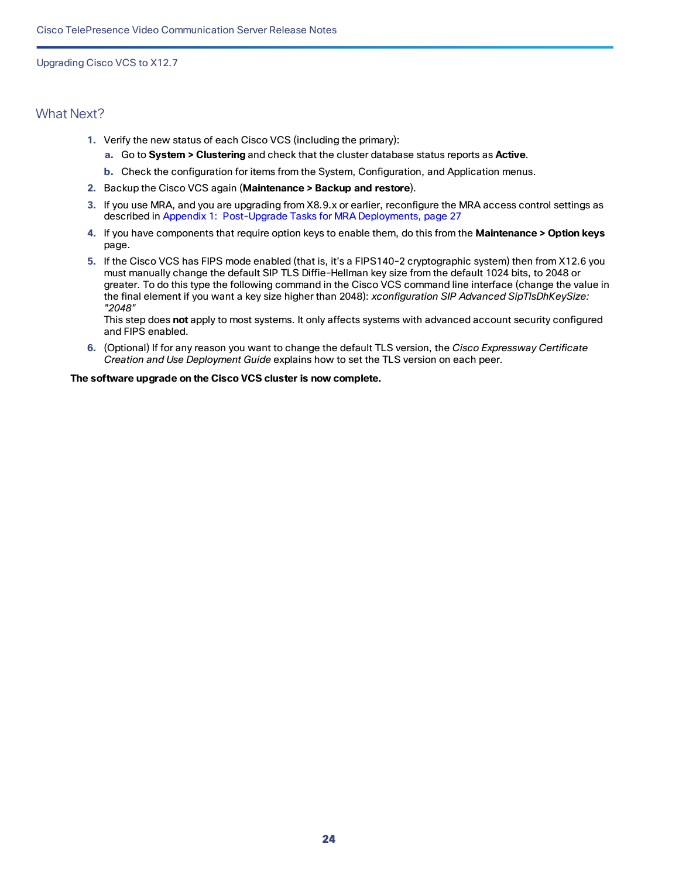#### What Next?

- **1.** Verify the new status of each Cisco VCS (including the primary):
	- **a.** Go to **System > Clustering** and check that the cluster database status reports as **Active**.
	- **b.** Check the configuration for items from the System, Configuration, and Application menus.
- **2.** Backup the Cisco VCS again (**Maintenance > Backup and restore**).
- **3.** If you use MRA, and you are upgrading from X8.9.x or earlier, reconfigure the MRA access control settings as described in Appendix [1: Post-Upgrade](#page-26-0) Tasks for MRA Deployments, page 27
- **4.** If you have components that require option keys to enable them, do this from the **Maintenance > Option keys** page.
- **5.** If the Cisco VCS has FIPS mode enabled (that is, it's a FIPS140-2 cryptographic system) then from X12.6 you must manually change the default SIP TLS Diffie-Hellman key size from the default 1024 bits, to 2048 or greater. To do this type the following command in the Cisco VCS command line interface (change the value in the final element if you want a key size higher than 2048): *xconfiguration SIP Advanced SipTlsDhKeySize: "2048"*

This step does **not** apply to most systems. It only affects systems with advanced account security configured and FIPS enabled.

**6.** (Optional) If for any reason you want to change the default TLS version, the *Cisco Expressway Certificate Creation and Use Deployment Guide* explains how to set the TLS version on each peer.

#### **The software upgrade on the Cisco VCS cluster is now complete.**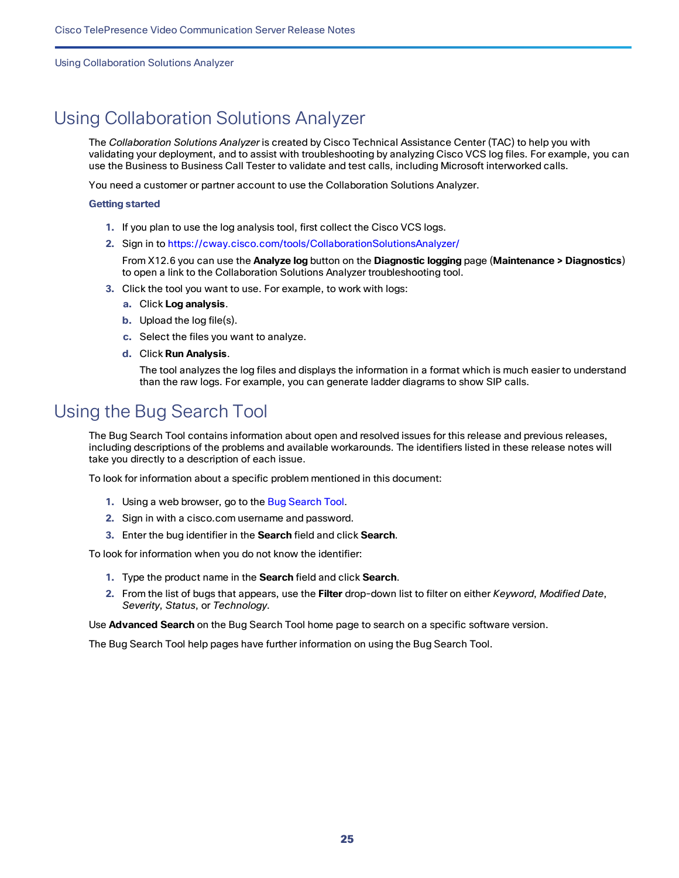Using Collaboration Solutions Analyzer

# <span id="page-24-0"></span>Using Collaboration Solutions Analyzer

The *Collaboration Solutions Analyzer* is created by Cisco Technical Assistance Center (TAC) to help you with validating your deployment, and to assist with troubleshooting by analyzing Cisco VCS log files. For example, you can use the Business to Business Call Tester to validate and test calls, including Microsoft interworked calls.

You need a customer or partner account to use the Collaboration Solutions Analyzer.

#### **Getting started**

- **1.** If you plan to use the log analysis tool, first collect the Cisco VCS logs.
- **2.** Sign in to <https://cway.cisco.com/tools/CollaborationSolutionsAnalyzer/>

From X12.6 you can use the **Analyze log** button on the **Diagnostic logging** page (**Maintenance > Diagnostics**) to open a link to the Collaboration Solutions Analyzer troubleshooting tool.

- **3.** Click the tool you want to use. For example, to work with logs:
	- **a.** Click **Log analysis**.
	- **b.** Upload the log file(s).
	- **c.** Select the files you want to analyze.
	- **d.** Click **Run Analysis**.

The tool analyzes the log files and displays the information in a format which is much easier to understand than the raw logs. For example, you can generate ladder diagrams to show SIP calls.

### <span id="page-24-1"></span>Using the Bug Search Tool

The Bug Search Tool contains information about open and resolved issues for this release and previous releases, including descriptions of the problems and available workarounds. The identifiers listed in these release notes will take you directly to a description of each issue.

To look for information about a specific problem mentioned in this document:

- **1.** Using a web browser, go to the Bug [Search](https://tools.cisco.com/bugsearch/) Tool.
- **2.** Sign in with a cisco.com username and password.
- **3.** Enter the bug identifier in the **Search** field and click **Search**.

To look for information when you do not know the identifier:

- **1.** Type the product name in the **Search** field and click **Search**.
- **2.** From the list of bugs that appears, use the **Filter** drop-down list to filter on either *Keyword*, *Modified Date*, *Severity*, *Status*, or *Technology*.

Use **Advanced Search** on the Bug Search Tool home page to search on a specific software version.

The Bug Search Tool help pages have further information on using the Bug Search Tool.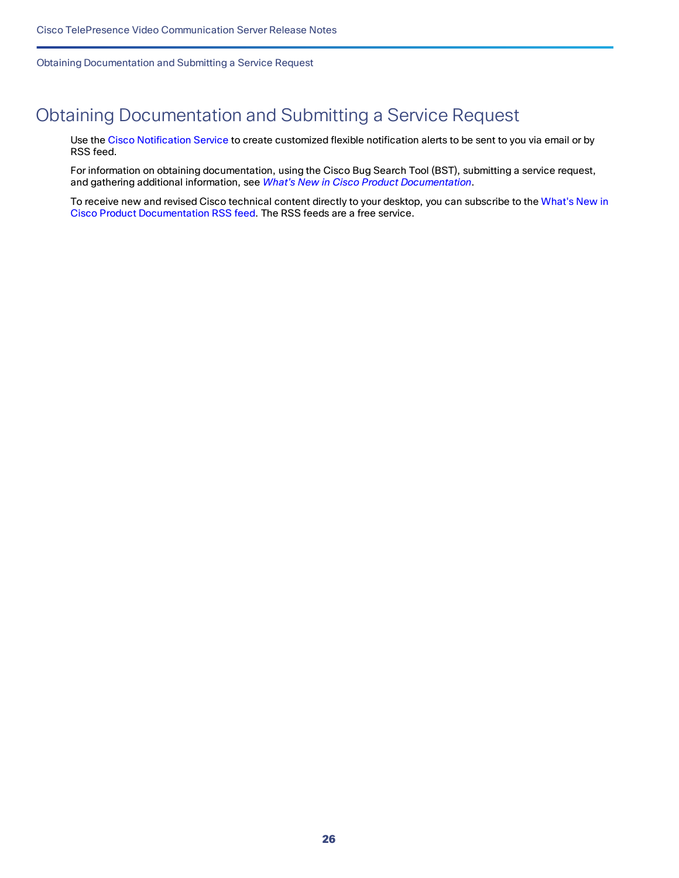Obtaining Documentation and Submitting a Service Request

# <span id="page-25-0"></span>Obtaining Documentation and Submitting a Service Request

Use the Cisco [Notification](http://www.cisco.com/cisco/support/notifications.html) Service to create customized flexible notification alerts to be sent to you via email or by RSS feed.

For information on obtaining documentation, using the Cisco Bug Search Tool (BST), submitting a service request, and gathering additional information, see *What's New in Cisco Product [Documentation](http://www.cisco.com/c/en/us/td/docs/general/whatsnew/whatsnew.html)*.

To receive new and revised Cisco technical content directly to your desktop, you can subscribe to the [What's](http://www.cisco.com/assets/cdc_content_elements/rss/whats_new/whatsnew_rss_feed.xml) New in Cisco Product [Documentation](http://www.cisco.com/assets/cdc_content_elements/rss/whats_new/whatsnew_rss_feed.xml) RSS feed. The RSS feeds are a free service.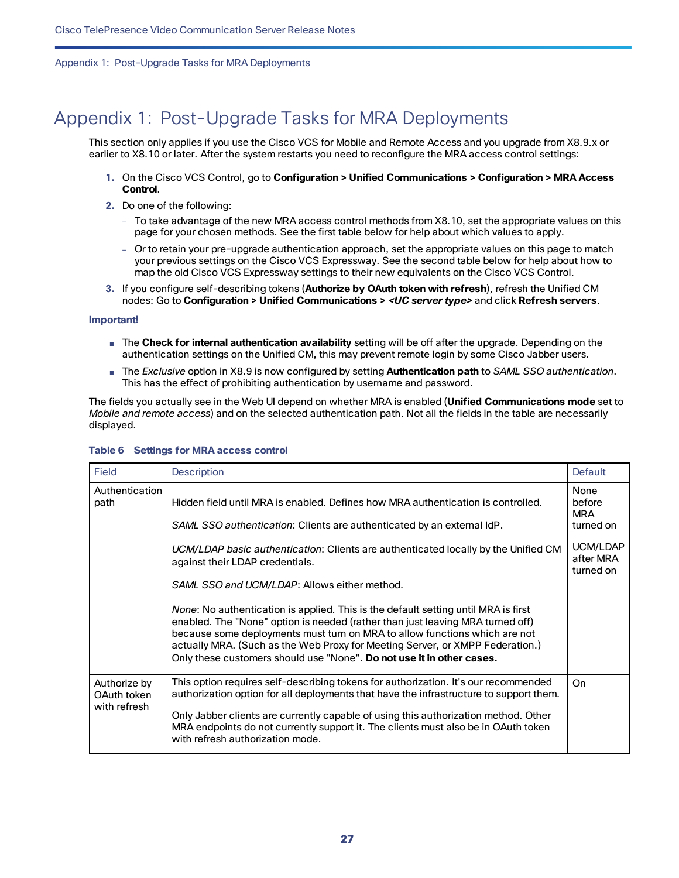# <span id="page-26-0"></span>Appendix 1: Post-Upgrade Tasks for MRA Deployments

This section only applies if you use the Cisco VCS for Mobile and Remote Access and you upgrade from X8.9.x or earlier to X8.10 or later. After the system restarts you need to reconfigure the MRA access control settings:

- **1.** On the Cisco VCS Control, go to **Configuration > Unified Communications > Configuration > MRA Access Control**.
- **2.** Do one of the following:
	- To take advantage of the new MRA access control methods from X8.10, set the appropriate values on this page for your chosen methods. See the first table below for help about which values to apply.
	- Or to retain your pre-upgrade authentication approach, set the appropriate values on this page to match your previous settings on the Cisco VCS Expressway. See the second table below for help about how to map the old Cisco VCS Expressway settings to their new equivalents on the Cisco VCS Control.
- **3.** If you configure self-describing tokens (**Authorize by OAuth token with refresh**), refresh the Unified CM nodes: Go to **Configuration > Unified Communications >** *<UC server type>* and click **Refresh servers**.

#### **Important!**

- The **Check for internal authentication availability** setting will be off after the upgrade. Depending on the authentication settings on the Unified CM, this may prevent remote login by some Cisco Jabber users.
- The *Exclusive* option in X8.9 is now configured by setting **Authentication path** to *SAML SSO authentication*. This has the effect of prohibiting authentication by username and password.

The fields you actually see in the Web UI depend on whether MRA is enabled (**Unified Communications mode** set to *Mobile and remote access*) and on the selected authentication path. Not all the fields in the table are necessarily displayed.

| <b>Field</b>                                | <b>Description</b>                                                                                                                                                                                                                                                                                                                                                                                                                                                                                                                                                                                                                                                                                                                                  | <b>Default</b>                                                                  |
|---------------------------------------------|-----------------------------------------------------------------------------------------------------------------------------------------------------------------------------------------------------------------------------------------------------------------------------------------------------------------------------------------------------------------------------------------------------------------------------------------------------------------------------------------------------------------------------------------------------------------------------------------------------------------------------------------------------------------------------------------------------------------------------------------------------|---------------------------------------------------------------------------------|
| Authentication<br>path                      | Hidden field until MRA is enabled. Defines how MRA authentication is controlled.<br>SAML SSO authentication: Clients are authenticated by an external IdP.<br>UCM/LDAP basic authentication: Clients are authenticated locally by the Unified CM<br>against their LDAP credentials.<br>SAML SSO and UCM/LDAP: Allows either method.<br>None: No authentication is applied. This is the default setting until MRA is first<br>enabled. The "None" option is needed (rather than just leaving MRA turned off)<br>because some deployments must turn on MRA to allow functions which are not<br>actually MRA. (Such as the Web Proxy for Meeting Server, or XMPP Federation.)<br>Only these customers should use "None". Do not use it in other cases. | None<br>before<br><b>MRA</b><br>turned on<br>UCM/LDAP<br>after MRA<br>turned on |
| Authorize by<br>OAuth token<br>with refresh | This option requires self-describing tokens for authorization. It's our recommended<br>authorization option for all deployments that have the infrastructure to support them.<br>Only Jabber clients are currently capable of using this authorization method. Other<br>MRA endpoints do not currently support it. The clients must also be in OAuth token<br>with refresh authorization mode.                                                                                                                                                                                                                                                                                                                                                      | On                                                                              |

#### **Table 6 Settings for MRA access control**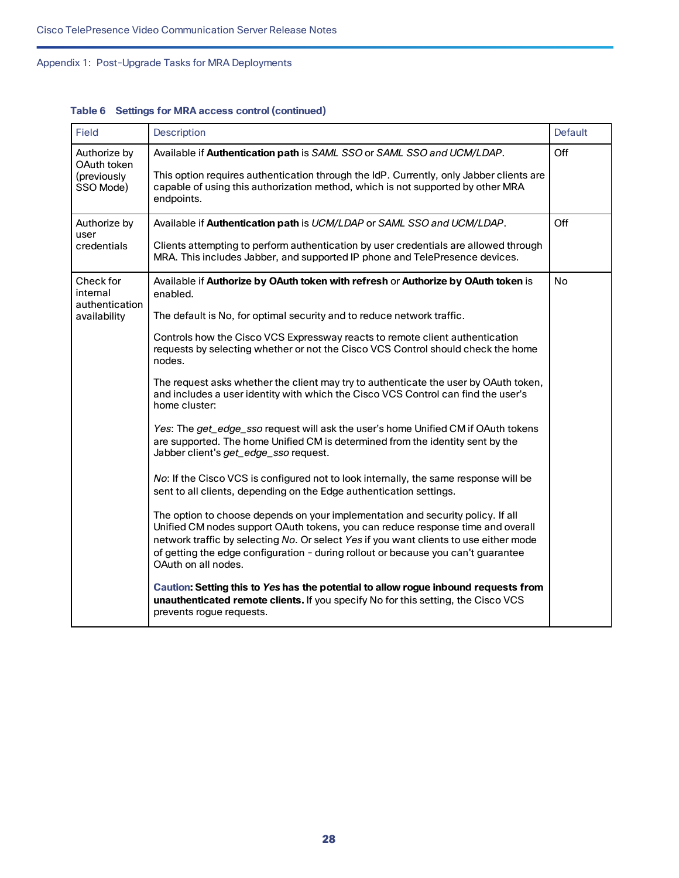| Field                                                   | Description                                                                                                                                                                                                                                                                                                                                                                                                                                                                                                                                                                                                                                                                                                                                                                                                                                                                                                                                                                                                                                                                                                                                                                                                                                                                                                                                                                                                                                                                                                           | <b>Default</b> |
|---------------------------------------------------------|-----------------------------------------------------------------------------------------------------------------------------------------------------------------------------------------------------------------------------------------------------------------------------------------------------------------------------------------------------------------------------------------------------------------------------------------------------------------------------------------------------------------------------------------------------------------------------------------------------------------------------------------------------------------------------------------------------------------------------------------------------------------------------------------------------------------------------------------------------------------------------------------------------------------------------------------------------------------------------------------------------------------------------------------------------------------------------------------------------------------------------------------------------------------------------------------------------------------------------------------------------------------------------------------------------------------------------------------------------------------------------------------------------------------------------------------------------------------------------------------------------------------------|----------------|
| Authorize by<br>OAuth token<br>(previously<br>SSO Mode) | Available if Authentication path is SAML SSO or SAML SSO and UCM/LDAP.<br>This option requires authentication through the IdP. Currently, only Jabber clients are<br>capable of using this authorization method, which is not supported by other MRA<br>endpoints.                                                                                                                                                                                                                                                                                                                                                                                                                                                                                                                                                                                                                                                                                                                                                                                                                                                                                                                                                                                                                                                                                                                                                                                                                                                    | Off            |
| Authorize by<br>user<br>credentials                     | Available if Authentication path is UCM/LDAP or SAML SSO and UCM/LDAP.<br>Clients attempting to perform authentication by user credentials are allowed through<br>MRA. This includes Jabber, and supported IP phone and TelePresence devices.                                                                                                                                                                                                                                                                                                                                                                                                                                                                                                                                                                                                                                                                                                                                                                                                                                                                                                                                                                                                                                                                                                                                                                                                                                                                         | Off            |
| Check for<br>internal<br>authentication<br>availability | Available if Authorize by OAuth token with refresh or Authorize by OAuth token is<br>enabled.<br>The default is No, for optimal security and to reduce network traffic.<br>Controls how the Cisco VCS Expressway reacts to remote client authentication<br>requests by selecting whether or not the Cisco VCS Control should check the home<br>nodes.<br>The request asks whether the client may try to authenticate the user by OAuth token,<br>and includes a user identity with which the Cisco VCS Control can find the user's<br>home cluster:<br>Yes: The get_edge_sso request will ask the user's home Unified CM if OAuth tokens<br>are supported. The home Unified CM is determined from the identity sent by the<br>Jabber client's get_edge_sso request.<br>No: If the Cisco VCS is configured not to look internally, the same response will be<br>sent to all clients, depending on the Edge authentication settings.<br>The option to choose depends on your implementation and security policy. If all<br>Unified CM nodes support OAuth tokens, you can reduce response time and overall<br>network traffic by selecting No. Or select Yes if you want clients to use either mode<br>of getting the edge configuration - during rollout or because you can't guarantee<br>OAuth on all nodes.<br>Caution: Setting this to Yes has the potential to allow rogue inbound requests from<br>unauthenticated remote clients. If you specify No for this setting, the Cisco VCS<br>prevents rogue requests. |                |

**Table 6 Settings for MRA access control (continued)**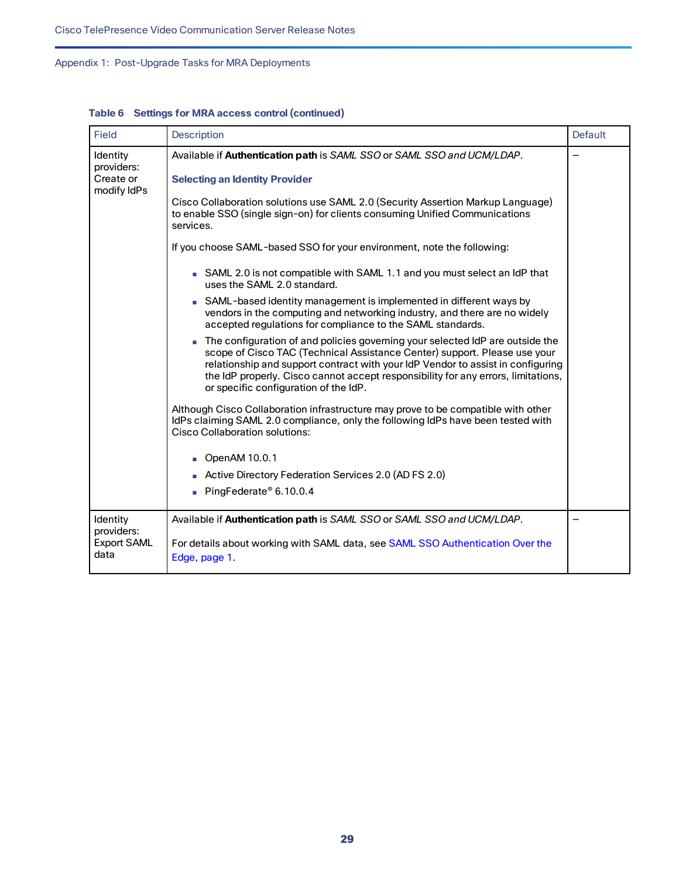| Field                                    | <b>Description</b>                                                                                                                                                                                                                                                                                                                                                          | Default |
|------------------------------------------|-----------------------------------------------------------------------------------------------------------------------------------------------------------------------------------------------------------------------------------------------------------------------------------------------------------------------------------------------------------------------------|---------|
| Identity<br>providers:                   | Available if Authentication path is SAML SSO or SAML SSO and UCM/LDAP.                                                                                                                                                                                                                                                                                                      |         |
| Create or<br>modify IdPs                 | <b>Selecting an Identity Provider</b>                                                                                                                                                                                                                                                                                                                                       |         |
|                                          | Cisco Collaboration solutions use SAML 2.0 (Security Assertion Markup Language)<br>to enable SSO (single sign-on) for clients consuming Unified Communications<br>services.                                                                                                                                                                                                 |         |
|                                          | If you choose SAML-based SSO for your environment, note the following:                                                                                                                                                                                                                                                                                                      |         |
|                                          | SAML 2.0 is not compatible with SAML 1.1 and you must select an IdP that<br>uses the SAML 2.0 standard.                                                                                                                                                                                                                                                                     |         |
|                                          | SAML-based identity management is implemented in different ways by<br>vendors in the computing and networking industry, and there are no widely<br>accepted regulations for compliance to the SAML standards.                                                                                                                                                               |         |
|                                          | The configuration of and policies governing your selected IdP are outside the<br>scope of Cisco TAC (Technical Assistance Center) support. Please use your<br>relationship and support contract with your IdP Vendor to assist in configuring<br>the IdP properly. Cisco cannot accept responsibility for any errors, limitations,<br>or specific configuration of the IdP. |         |
|                                          | Although Cisco Collaboration infrastructure may prove to be compatible with other<br>IdPs claiming SAML 2.0 compliance, only the following IdPs have been tested with<br><b>Cisco Collaboration solutions:</b>                                                                                                                                                              |         |
|                                          | OpenAM 10.0.1                                                                                                                                                                                                                                                                                                                                                               |         |
|                                          | Active Directory Federation Services 2.0 (AD FS 2.0)                                                                                                                                                                                                                                                                                                                        |         |
|                                          | PingFederate® 6.10.0.4                                                                                                                                                                                                                                                                                                                                                      |         |
| Identity                                 | Available if Authentication path is SAML SSO or SAML SSO and UCM/LDAP.                                                                                                                                                                                                                                                                                                      |         |
| providers:<br><b>Export SAML</b><br>data | For details about working with SAML data, see SAML SSO Authentication Over the<br>Edge, page 1.                                                                                                                                                                                                                                                                             |         |

**Table 6 Settings for MRA access control (continued)**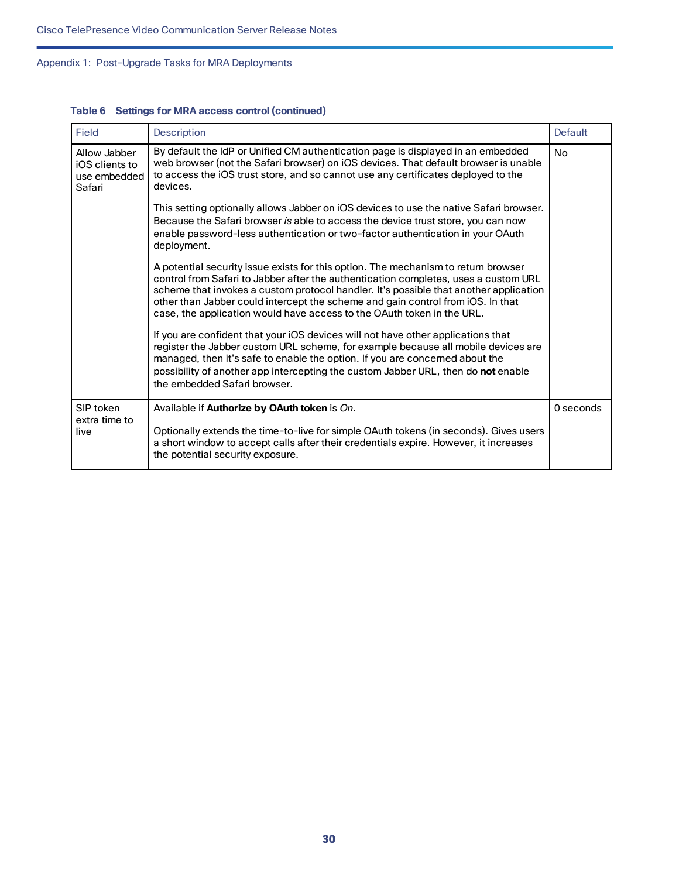| Field                                                    | <b>Description</b>                                                                                                                                                                                                                                                                                                                                                                                                              | <b>Default</b> |
|----------------------------------------------------------|---------------------------------------------------------------------------------------------------------------------------------------------------------------------------------------------------------------------------------------------------------------------------------------------------------------------------------------------------------------------------------------------------------------------------------|----------------|
| Allow Jabber<br>iOS clients to<br>use embedded<br>Safari | By default the IdP or Unified CM authentication page is displayed in an embedded<br>web browser (not the Safari browser) on iOS devices. That default browser is unable<br>to access the iOS trust store, and so cannot use any certificates deployed to the<br>devices.                                                                                                                                                        | <b>No</b>      |
|                                                          | This setting optionally allows Jabber on iOS devices to use the native Safari browser.<br>Because the Safari browser is able to access the device trust store, you can now<br>enable password-less authentication or two-factor authentication in your OAuth<br>deployment.                                                                                                                                                     |                |
|                                                          | A potential security issue exists for this option. The mechanism to return browser<br>control from Safari to Jabber after the authentication completes, uses a custom URL<br>scheme that invokes a custom protocol handler. It's possible that another application<br>other than Jabber could intercept the scheme and gain control from iOS. In that<br>case, the application would have access to the OAuth token in the URL. |                |
|                                                          | If you are confident that your iOS devices will not have other applications that<br>register the Jabber custom URL scheme, for example because all mobile devices are<br>managed, then it's safe to enable the option. If you are concerned about the<br>possibility of another app intercepting the custom Jabber URL, then do not enable<br>the embedded Safari browser.                                                      |                |
| SIP token<br>extra time to<br>live                       | Available if Authorize by OAuth token is On.<br>Optionally extends the time-to-live for simple OAuth tokens (in seconds). Gives users<br>a short window to accept calls after their credentials expire. However, it increases<br>the potential security exposure.                                                                                                                                                               | 0 seconds      |

#### **Table 6 Settings for MRA access control (continued)**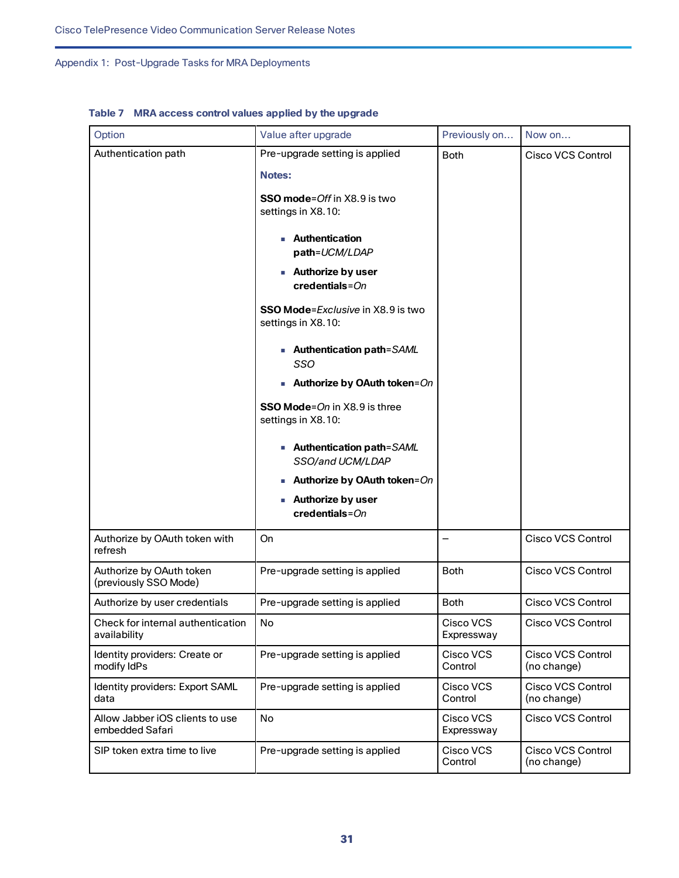| Option                                             | Value after upgrade                                                                                                                                                                                                                                                                           | Previously on           | Now on                                  |
|----------------------------------------------------|-----------------------------------------------------------------------------------------------------------------------------------------------------------------------------------------------------------------------------------------------------------------------------------------------|-------------------------|-----------------------------------------|
| Authentication path                                | Pre-upgrade setting is applied<br><b>Notes:</b><br><b>SSO mode</b> =Off in X8.9 is two<br>settings in X8.10:<br><b>Authentication</b><br>path=UCM/LDAP<br><b>Authorize by user</b><br>$credentials = On$<br><b>SSO Mode</b> =Exclusive in X8.9 is two<br>settings in X8.10:                   | <b>Both</b>             | <b>Cisco VCS Control</b>                |
|                                                    | - Authentication path=SAML<br>SSO<br>Authorize by OAuth token=On<br><b>SSO Mode</b> =On in X8.9 is three<br>settings in X8.10:<br>■ Authentication path=SAML<br>SSO/and UCM/LDAP<br>Authorize by OAuth token=On<br><b>Authorize by user</b><br>$\overline{\phantom{a}}$<br>$credentials = On$ |                         |                                         |
| Authorize by OAuth token with<br>refresh           | On                                                                                                                                                                                                                                                                                            | —                       | <b>Cisco VCS Control</b>                |
| Authorize by OAuth token<br>(previously SSO Mode)  | Pre-upgrade setting is applied                                                                                                                                                                                                                                                                | <b>Both</b>             | <b>Cisco VCS Control</b>                |
| Authorize by user credentials                      | Pre-upgrade setting is applied                                                                                                                                                                                                                                                                | <b>Both</b>             | <b>Cisco VCS Control</b>                |
| Check for internal authentication<br>availability  | No                                                                                                                                                                                                                                                                                            | Cisco VCS<br>Expressway | Cisco VCS Control                       |
| Identity providers: Create or<br>modify IdPs       | Pre-upgrade setting is applied                                                                                                                                                                                                                                                                | Cisco VCS<br>Control    | <b>Cisco VCS Control</b><br>(no change) |
| Identity providers: Export SAML<br>data            | Pre-upgrade setting is applied                                                                                                                                                                                                                                                                | Cisco VCS<br>Control    | <b>Cisco VCS Control</b><br>(no change) |
| Allow Jabber iOS clients to use<br>embedded Safari | <b>No</b>                                                                                                                                                                                                                                                                                     | Cisco VCS<br>Expressway | <b>Cisco VCS Control</b>                |
| SIP token extra time to live                       | Pre-upgrade setting is applied                                                                                                                                                                                                                                                                | Cisco VCS<br>Control    | Cisco VCS Control<br>(no change)        |